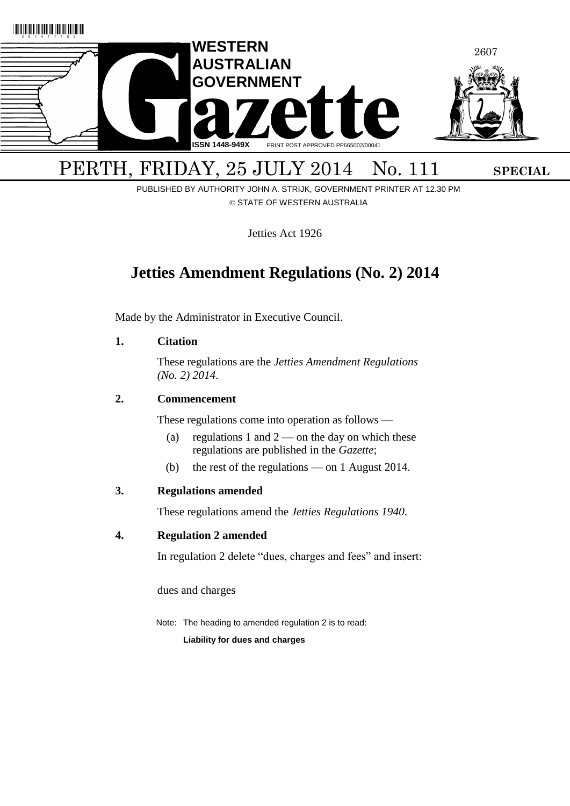

PERTH, FRIDAY, 25 JULY 2014 No. 111 SPECIAL

PUBLISHED BY AUTHORITY JOHN A. STRIJK, GOVERNMENT PRINTER AT 12.30 PM © STATE OF WESTERN AUSTRALIA

Jetties Act 1926

# **Jetties Amendment Regulations (No. 2) 2014**

Made by the Administrator in Executive Council.

# <span id="page-0-0"></span>**1. Citation**

These regulations are the *Jetties Amendment Regulations (No. 2) 2014*.

# <span id="page-0-1"></span>**2. Commencement**

These regulations come into operation as follows —

- (a) regulations [1](#page-0-0) and  $2$  on the day on which these regulations are published in the *Gazette*;
- (b) the rest of the regulations on 1 August 2014.

## **3. Regulations amended**

These regulations amend the *Jetties Regulations 1940*.

## **4. Regulation 2 amended**

In regulation 2 delete "dues, charges and fees" and insert:

dues and charges

Note: The heading to amended regulation 2 is to read:

**Liability for dues and charges**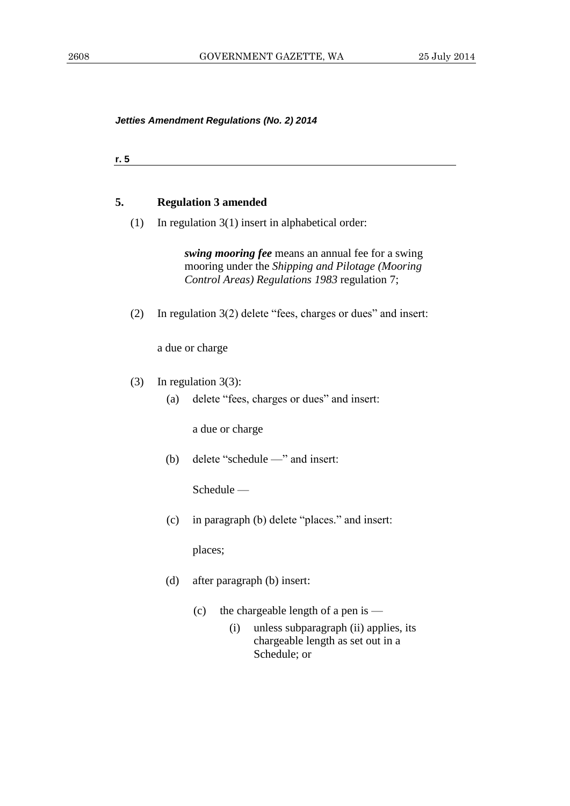|  | <br>. . |
|--|---------|
|--|---------|

## **5. Regulation 3 amended**

(1) In regulation 3(1) insert in alphabetical order:

*swing mooring fee* means an annual fee for a swing mooring under the *Shipping and Pilotage (Mooring Control Areas) Regulations 1983* regulation 7;

(2) In regulation 3(2) delete "fees, charges or dues" and insert:

a due or charge

- (3) In regulation 3(3):
	- (a) delete "fees, charges or dues" and insert:

a due or charge

(b) delete "schedule —" and insert:

Schedule —

(c) in paragraph (b) delete "places." and insert:

places;

- (d) after paragraph (b) insert:
	- (c) the chargeable length of a pen is
		- (i) unless subparagraph (ii) applies, its chargeable length as set out in a Schedule; or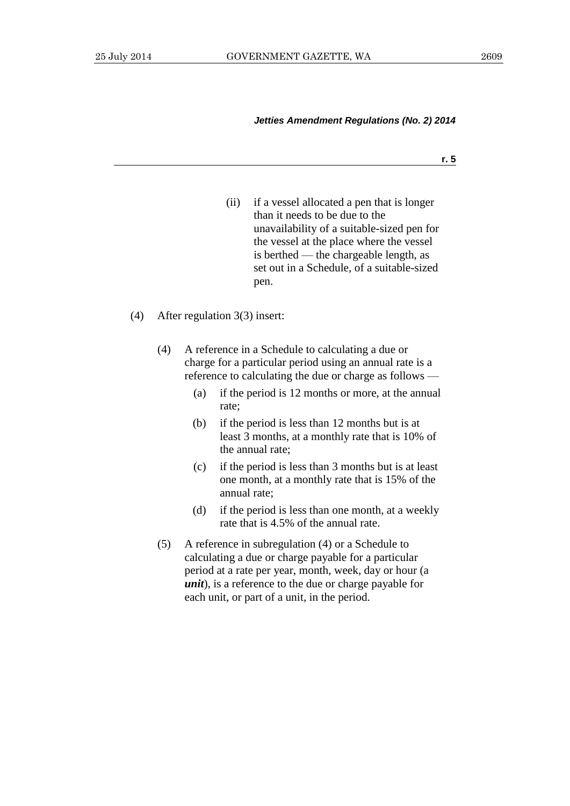**r. 5**

(ii) if a vessel allocated a pen that is longer than it needs to be due to the unavailability of a suitable-sized pen for the vessel at the place where the vessel is berthed — the chargeable length, as set out in a Schedule, of a suitable-sized pen.

#### (4) After regulation 3(3) insert:

- (4) A reference in a Schedule to calculating a due or charge for a particular period using an annual rate is a reference to calculating the due or charge as follows —
	- (a) if the period is 12 months or more, at the annual rate;
	- (b) if the period is less than 12 months but is at least 3 months, at a monthly rate that is 10% of the annual rate;
	- (c) if the period is less than 3 months but is at least one month, at a monthly rate that is 15% of the annual rate;
	- (d) if the period is less than one month, at a weekly rate that is 4.5% of the annual rate.
- (5) A reference in subregulation (4) or a Schedule to calculating a due or charge payable for a particular period at a rate per year, month, week, day or hour (a *unit*), is a reference to the due or charge payable for each unit, or part of a unit, in the period.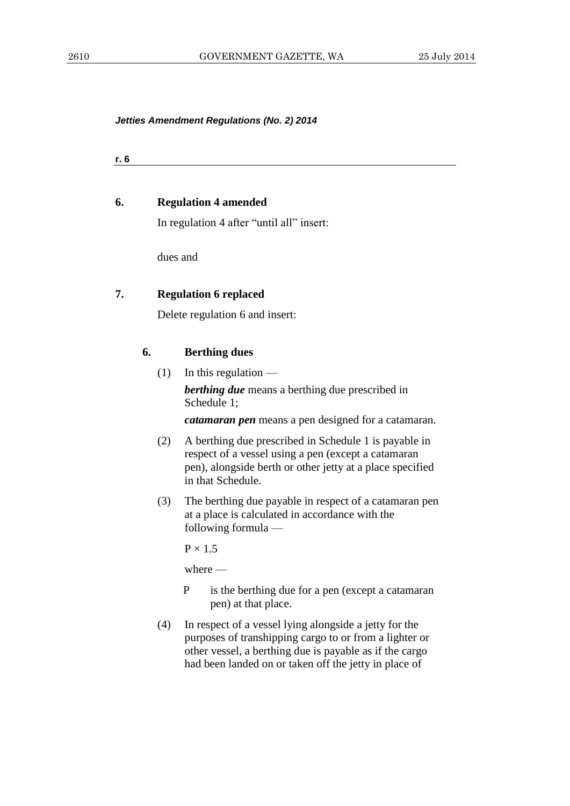**r. 6**

#### **6. Regulation 4 amended**

In regulation 4 after "until all" insert:

dues and

## **7. Regulation 6 replaced**

Delete regulation 6 and insert:

# **6. Berthing dues**

 $(1)$  In this regulation —

*berthing due* means a berthing due prescribed in Schedule 1;

*catamaran pen* means a pen designed for a catamaran.

- (2) A berthing due prescribed in Schedule 1 is payable in respect of a vessel using a pen (except a catamaran pen), alongside berth or other jetty at a place specified in that Schedule.
- (3) The berthing due payable in respect of a catamaran pen at a place is calculated in accordance with the following formula —

 $P \times 1.5$ 

where —

- P is the berthing due for a pen (except a catamaran pen) at that place.
- (4) In respect of a vessel lying alongside a jetty for the purposes of transhipping cargo to or from a lighter or other vessel, a berthing due is payable as if the cargo had been landed on or taken off the jetty in place of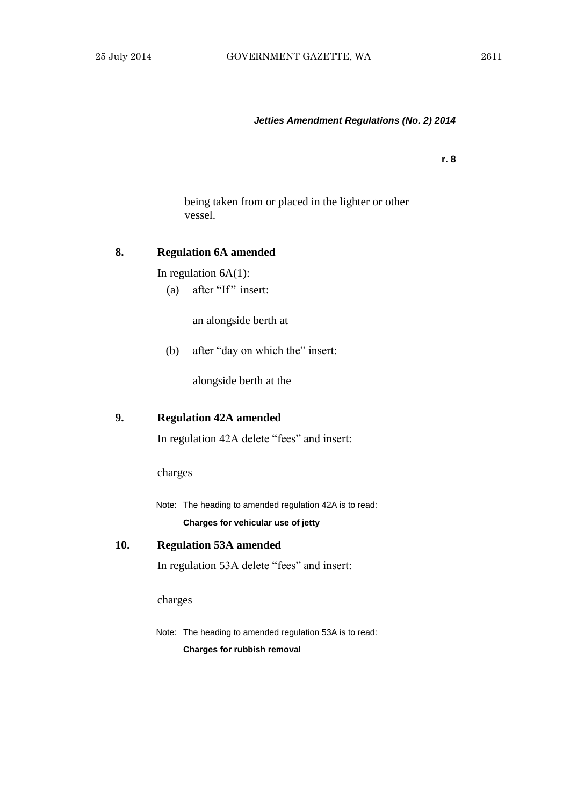**r. 8**

being taken from or placed in the lighter or other vessel.

# **8. Regulation 6A amended**

In regulation  $6A(1)$ :

(a) after "If" insert:

an alongside berth at

(b) after "day on which the" insert:

alongside berth at the

## **9. Regulation 42A amended**

In regulation 42A delete "fees" and insert:

charges

Note: The heading to amended regulation 42A is to read: **Charges for vehicular use of jetty**

**10. Regulation 53A amended** In regulation 53A delete "fees" and insert:

charges

Note: The heading to amended regulation 53A is to read: **Charges for rubbish removal**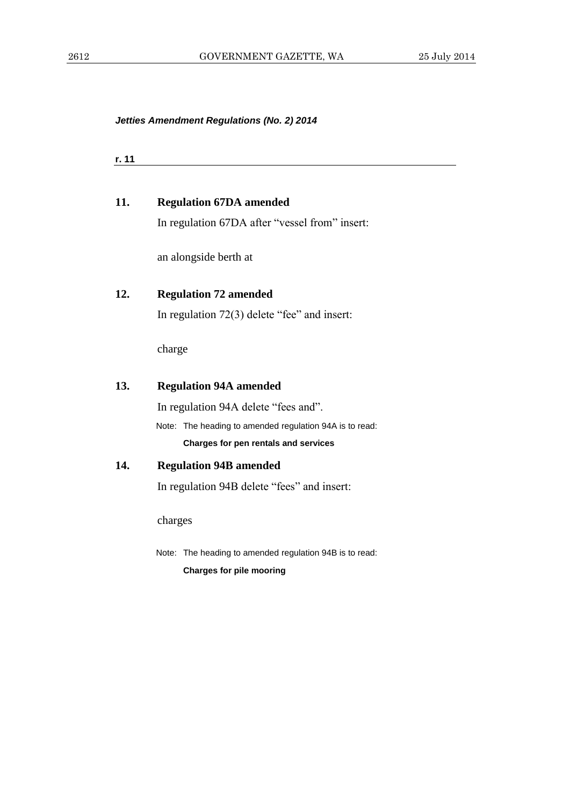| r. 11 |                                                         |
|-------|---------------------------------------------------------|
| 11.   | <b>Regulation 67DA amended</b>                          |
|       | In regulation 67DA after "vessel from" insert:          |
|       | an alongside berth at                                   |
| 12.   | <b>Regulation 72 amended</b>                            |
|       | In regulation $72(3)$ delete "fee" and insert:          |
|       | charge                                                  |
| 13.   | <b>Regulation 94A amended</b>                           |
|       | In regulation 94A delete "fees and".                    |
|       | Note: The heading to amended regulation 94A is to read: |
|       | Charges for pen rentals and services                    |
| 14.   | <b>Regulation 94B amended</b>                           |
|       | In regulation 94B delete "fees" and insert:             |
|       | charges                                                 |
|       | Note: The heading to amended regulation 94B is to read: |
|       | <b>Charges for pile mooring</b>                         |
|       |                                                         |
|       |                                                         |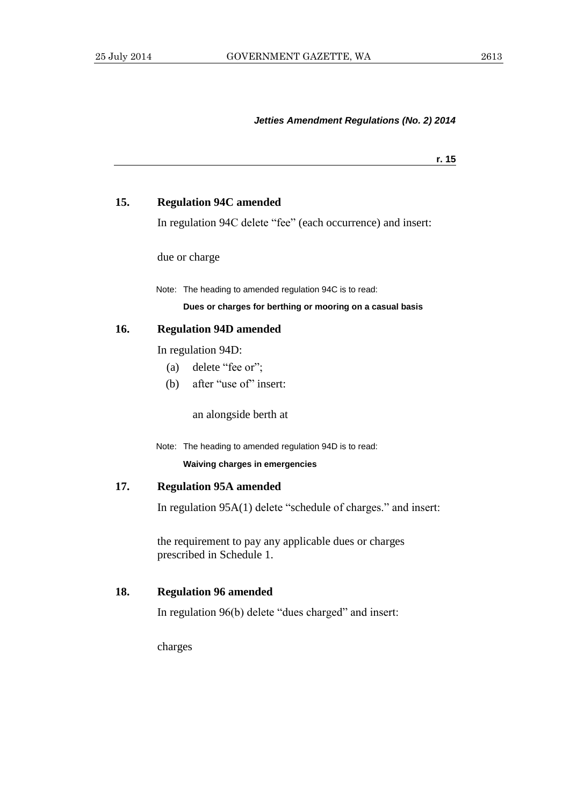**r. 15**

## **15. Regulation 94C amended**

In regulation 94C delete "fee" (each occurrence) and insert:

due or charge

Note: The heading to amended regulation 94C is to read:

#### **Dues or charges for berthing or mooring on a casual basis**

#### **16. Regulation 94D amended**

In regulation 94D:

- (a) delete "fee or";
- (b) after "use of" insert:

an alongside berth at

Note: The heading to amended regulation 94D is to read:

**Waiving charges in emergencies**

## **17. Regulation 95A amended**

In regulation 95A(1) delete "schedule of charges." and insert:

the requirement to pay any applicable dues or charges prescribed in Schedule 1.

## **18. Regulation 96 amended**

In regulation 96(b) delete "dues charged" and insert:

charges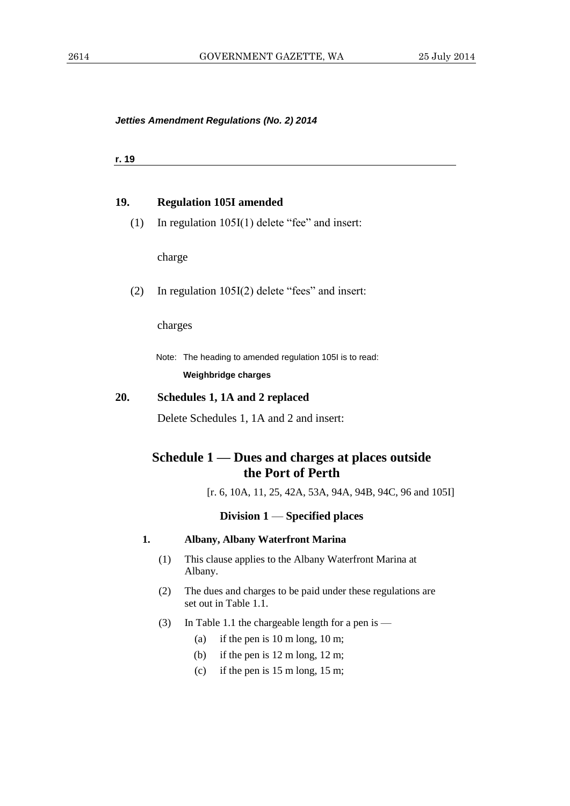**r. 19**

#### **19. Regulation 105I amended**

(1) In regulation 105I(1) delete "fee" and insert:

charge

(2) In regulation 105I(2) delete "fees" and insert:

charges

Note: The heading to amended regulation 105I is to read: **Weighbridge charges**

#### **20. Schedules 1, 1A and 2 replaced**

Delete Schedules 1, 1A and 2 and insert:

# **Schedule 1 — Dues and charges at places outside the Port of Perth**

[r. 6, 10A, 11, 25, 42A, 53A, 94A, 94B, 94C, 96 and 105I]

#### **Division 1** — **Specified places**

- **1. Albany, Albany Waterfront Marina**
	- (1) This clause applies to the Albany Waterfront Marina at Albany.
	- (2) The dues and charges to be paid under these regulations are set out in Table 1.1.
	- (3) In Table 1.1 the chargeable length for a pen is
		- (a) if the pen is 10 m long, 10 m;
		- (b) if the pen is 12 m long, 12 m;
		- (c) if the pen is  $15 \text{ m}$  long,  $15 \text{ m}$ ;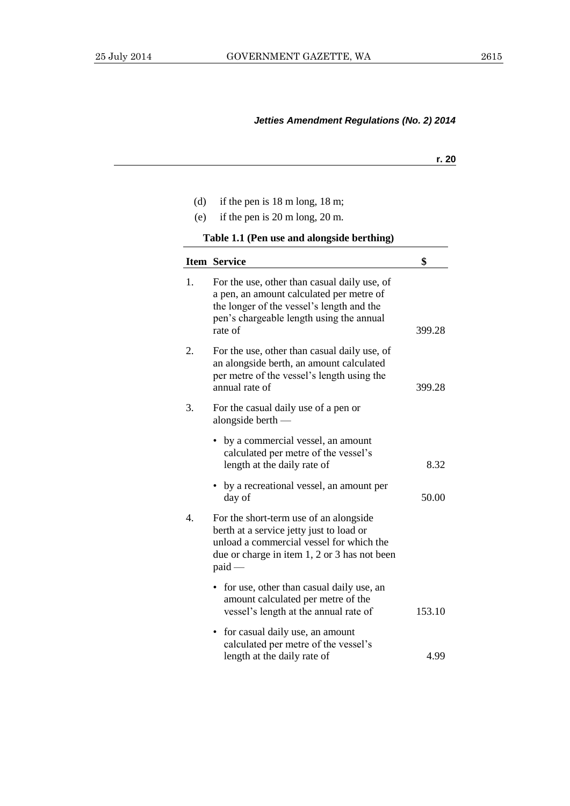| ٠<br>۰. |
|---------|
|         |

- (d) if the pen is 18 m long, 18 m;
- (e) if the pen is 20 m long, 20 m.

**Table 1.1 (Pen use and alongside berthing)**

|    | <b>Item Service</b>                                                                                                                                                                          | \$     |
|----|----------------------------------------------------------------------------------------------------------------------------------------------------------------------------------------------|--------|
| 1. | For the use, other than casual daily use, of<br>a pen, an amount calculated per metre of<br>the longer of the vessel's length and the<br>pen's chargeable length using the annual<br>rate of | 399.28 |
| 2. | For the use, other than casual daily use, of<br>an alongside berth, an amount calculated<br>per metre of the vessel's length using the<br>annual rate of                                     | 399.28 |
| 3. | For the casual daily use of a pen or<br>alongside berth $-$                                                                                                                                  |        |
|    | • by a commercial vessel, an amount<br>calculated per metre of the vessel's<br>length at the daily rate of                                                                                   | 8.32   |
|    | • by a recreational vessel, an amount per<br>day of                                                                                                                                          | 50.00  |
| 4. | For the short-term use of an alongside<br>berth at a service jetty just to load or<br>unload a commercial vessel for which the<br>due or charge in item 1, 2 or 3 has not been<br>$paid -$   |        |
|    | for use, other than casual daily use, an<br>amount calculated per metre of the<br>vessel's length at the annual rate of                                                                      | 153.10 |
|    | for casual daily use, an amount<br>$\bullet$<br>calculated per metre of the vessel's<br>length at the daily rate of                                                                          | 4.99   |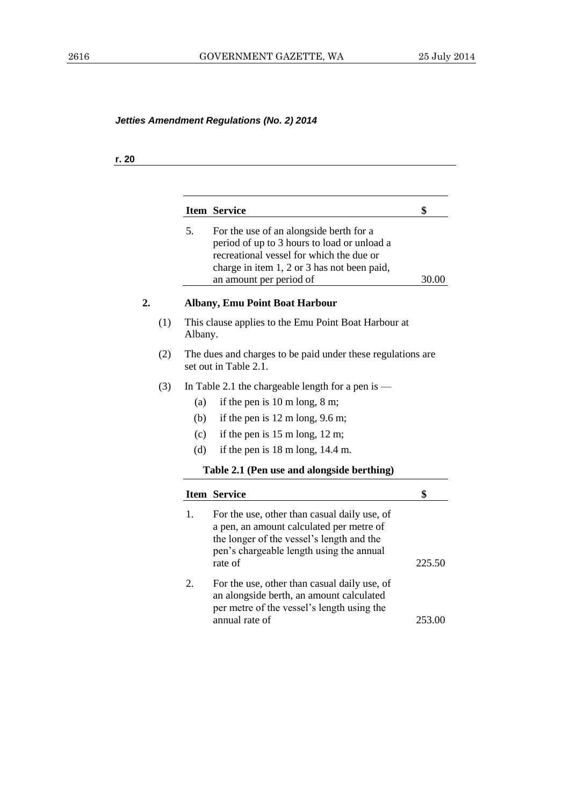## **r. 20**

|     |         | <b>Item Service</b>                                                                                                                                                                                          | \$     |
|-----|---------|--------------------------------------------------------------------------------------------------------------------------------------------------------------------------------------------------------------|--------|
|     | 5.      | For the use of an alongside berth for a<br>period of up to 3 hours to load or unload a<br>recreational vessel for which the due or<br>charge in item 1, 2 or 3 has not been paid,<br>an amount per period of | 30.00  |
|     |         | <b>Albany, Emu Point Boat Harbour</b>                                                                                                                                                                        |        |
| (1) | Albany. | This clause applies to the Emu Point Boat Harbour at                                                                                                                                                         |        |
| (2) |         | The dues and charges to be paid under these regulations are<br>set out in Table 2.1.                                                                                                                         |        |
| (3) |         | In Table 2.1 the chargeable length for a pen is $-$                                                                                                                                                          |        |
|     | (a)     | if the pen is $10 \text{ m}$ long, $8 \text{ m}$ ;                                                                                                                                                           |        |
|     | (b)     | if the pen is $12 \text{ m}$ long, $9.6 \text{ m}$ ;                                                                                                                                                         |        |
|     | (c)     | if the pen is $15 \text{ m}$ long, $12 \text{ m}$ ;                                                                                                                                                          |        |
|     | (d)     | if the pen is 18 m long, 14.4 m.                                                                                                                                                                             |        |
|     |         | Table 2.1 (Pen use and alongside berthing)                                                                                                                                                                   |        |
|     |         | <b>Item Service</b>                                                                                                                                                                                          | \$     |
|     | 1.      | For the use, other than casual daily use, of<br>a pen, an amount calculated per metre of<br>the longer of the vessel's length and the<br>pen's chargeable length using the annual<br>rate of                 | 225.50 |
|     | 2.      | For the use, other than casual daily use, of<br>an alongside berth, an amount calculated<br>per metre of the vessel's length using the<br>annual rate of                                                     | 253.00 |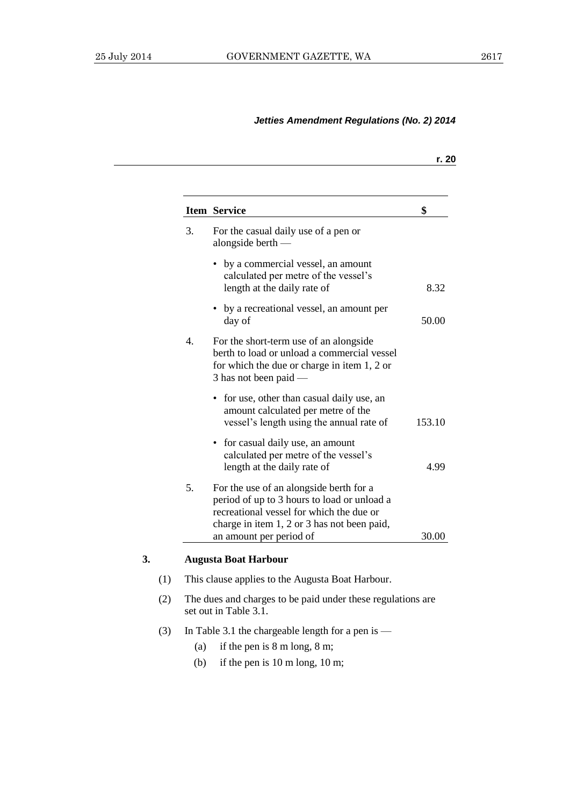|                  |                                                                                                                                                                                   | r. 20  |
|------------------|-----------------------------------------------------------------------------------------------------------------------------------------------------------------------------------|--------|
|                  | <b>Item Service</b>                                                                                                                                                               | \$     |
| 3.               | For the casual daily use of a pen or<br>alongside berth $-$                                                                                                                       |        |
|                  | by a commercial vessel, an amount<br>calculated per metre of the vessel's<br>length at the daily rate of                                                                          | 8.32   |
|                  | by a recreational vessel, an amount per<br>day of                                                                                                                                 | 50.00  |
| $\overline{4}$ . | For the short-term use of an alongside<br>berth to load or unload a commercial vessel<br>for which the due or charge in item 1, 2 or<br>$3$ has not been paid —                   |        |
|                  | • for use, other than casual daily use, an<br>amount calculated per metre of the<br>vessel's length using the annual rate of                                                      | 153.10 |
|                  | for casual daily use, an amount<br>$\bullet$<br>calculated per metre of the vessel's<br>length at the daily rate of                                                               | 4.99   |
| 5.               | For the use of an alongside berth for a<br>period of up to 3 hours to load or unload a<br>recreational vessel for which the due or<br>charge in item 1, 2 or 3 has not been paid, |        |
|                  | an amount per period of                                                                                                                                                           | 30.00  |

## **3. Augusta Boat Harbour**

- (1) This clause applies to the Augusta Boat Harbour.
- (2) The dues and charges to be paid under these regulations are set out in Table 3.1.
- (3) In Table 3.1 the chargeable length for a pen is
	- (a) if the pen is 8 m long, 8 m;
	- (b) if the pen is 10 m long, 10 m;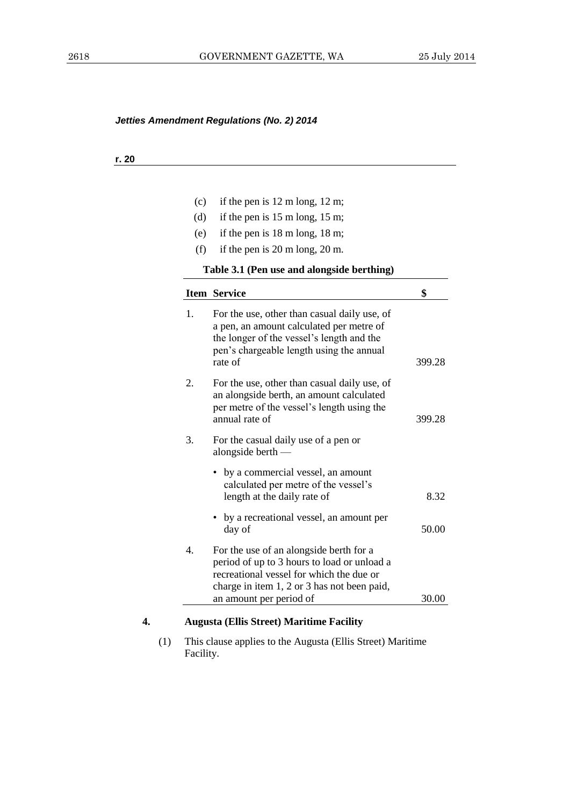## **r. 20**

| (c) | if the pen is $12 \text{ m}$ long, $12 \text{ m}$ ;                                                                                                                                                          |        |
|-----|--------------------------------------------------------------------------------------------------------------------------------------------------------------------------------------------------------------|--------|
| (d) | if the pen is $15 \text{ m}$ long, $15 \text{ m}$ ;                                                                                                                                                          |        |
| (e) | if the pen is $18 \text{ m}$ long, $18 \text{ m}$ ;                                                                                                                                                          |        |
| (f) | if the pen is $20 \text{ m}$ long, $20 \text{ m}$ .                                                                                                                                                          |        |
|     | Table 3.1 (Pen use and alongside berthing)                                                                                                                                                                   |        |
|     | <b>Item Service</b>                                                                                                                                                                                          | \$     |
| 1.  | For the use, other than casual daily use, of<br>a pen, an amount calculated per metre of<br>the longer of the vessel's length and the<br>pen's chargeable length using the annual<br>rate of                 | 399.28 |
| 2.  | For the use, other than casual daily use, of<br>an alongside berth, an amount calculated<br>per metre of the vessel's length using the<br>annual rate of                                                     | 399.28 |
| 3.  | For the casual daily use of a pen or<br>alongside berth $-$                                                                                                                                                  |        |
|     | • by a commercial vessel, an amount<br>calculated per metre of the vessel's<br>length at the daily rate of                                                                                                   | 8.32   |
|     | • by a recreational vessel, an amount per<br>day of                                                                                                                                                          | 50.00  |
| 4.  | For the use of an alongside berth for a<br>period of up to 3 hours to load or unload a<br>recreational vessel for which the due or<br>charge in item 1, 2 or 3 has not been paid,<br>an amount per period of | 30.00  |

(1) This clause applies to the Augusta (Ellis Street) Maritime Facility.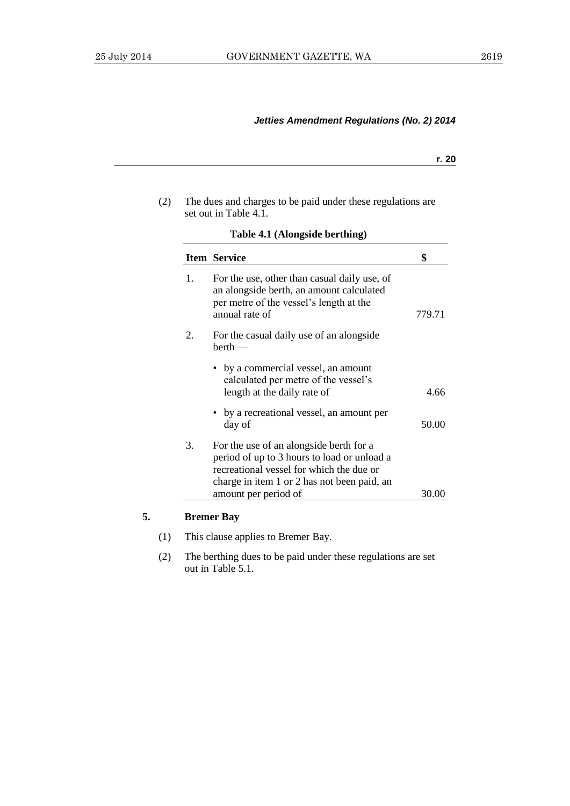| ٠<br>۰. |
|---------|
|         |

| (2) | The dues and charges to be paid under these regulations are |
|-----|-------------------------------------------------------------|
|     | set out in Table 4.1.                                       |

|    | <b>Item Service</b>                                                                                                                                                               | \$     |
|----|-----------------------------------------------------------------------------------------------------------------------------------------------------------------------------------|--------|
| 1. | For the use, other than casual daily use, of<br>an alongside berth, an amount calculated<br>per metre of the vessel's length at the<br>annual rate of                             | 779.71 |
| 2. | For the casual daily use of an alongside<br>$berth$ —                                                                                                                             |        |
|    | • by a commercial vessel, an amount<br>calculated per metre of the vessel's<br>length at the daily rate of                                                                        | 4.66   |
|    | by a recreational vessel, an amount per<br>day of                                                                                                                                 | 50.00  |
| 3. | For the use of an alongside berth for a<br>period of up to 3 hours to load or unload a<br>recreational vessel for which the due or<br>charge in item 1 or 2 has not been paid, an |        |
|    | amount per period of                                                                                                                                                              | 30.00  |

**Table 4.1 (Alongside berthing)**

# **5. Bremer Bay**

- (1) This clause applies to Bremer Bay.
- (2) The berthing dues to be paid under these regulations are set out in Table 5.1.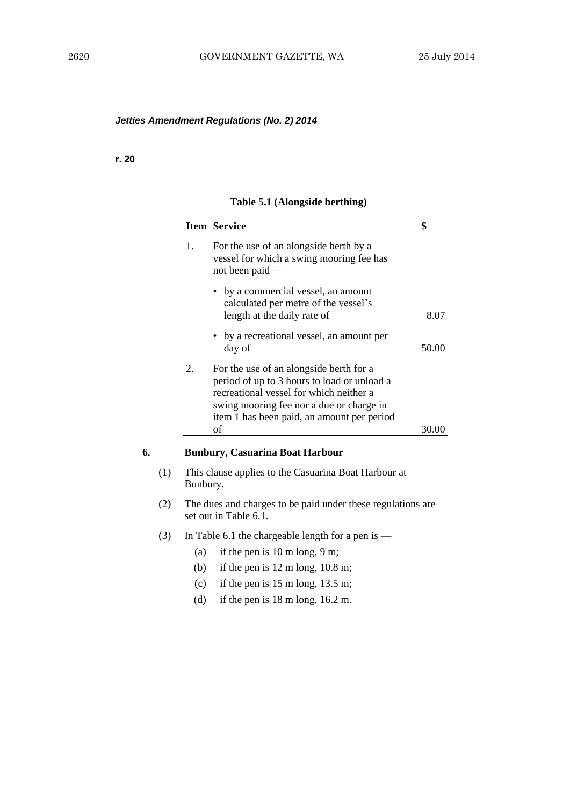**r. 20**

# **Table 5.1 (Alongside berthing)**

|    |     |          | <b>Item Service</b>                                                                                                                                                                                                         | \$    |
|----|-----|----------|-----------------------------------------------------------------------------------------------------------------------------------------------------------------------------------------------------------------------------|-------|
|    |     | 1.       | For the use of an alongside berth by a<br>vessel for which a swing mooring fee has<br>not been paid —                                                                                                                       |       |
|    |     |          | • by a commercial vessel, an amount<br>calculated per metre of the vessel's<br>length at the daily rate of                                                                                                                  | 8.07  |
|    |     |          | • by a recreational vessel, an amount per<br>day of                                                                                                                                                                         | 50.00 |
|    |     | 2.       | For the use of an alongside berth for a<br>period of up to 3 hours to load or unload a<br>recreational vessel for which neither a<br>swing mooring fee nor a due or charge in<br>item 1 has been paid, an amount per period |       |
|    |     |          | of                                                                                                                                                                                                                          | 30.00 |
| 6. |     |          | <b>Bunbury, Casuarina Boat Harbour</b>                                                                                                                                                                                      |       |
|    | (1) | Bunbury. | This clause applies to the Casuarina Boat Harbour at                                                                                                                                                                        |       |
|    | (2) |          | The dues and charges to be paid under these regulations are<br>set out in Table 6.1.                                                                                                                                        |       |
|    | (3) |          | In Table 6.1 the chargeable length for a pen is $-$                                                                                                                                                                         |       |
|    |     | (a)      | if the pen is $10 \text{ m}$ long, $9 \text{ m}$ ;                                                                                                                                                                          |       |
|    |     | (b)      | if the pen is $12 \text{ m}$ long, $10.8 \text{ m}$ ;                                                                                                                                                                       |       |
|    |     | (c)      | if the pen is $15 \text{ m}$ long, $13.5 \text{ m}$ ;                                                                                                                                                                       |       |
|    |     | (d)      | if the pen is $18 \text{ m}$ long, $16.2 \text{ m}$ .                                                                                                                                                                       |       |
|    |     |          |                                                                                                                                                                                                                             |       |
|    |     |          |                                                                                                                                                                                                                             |       |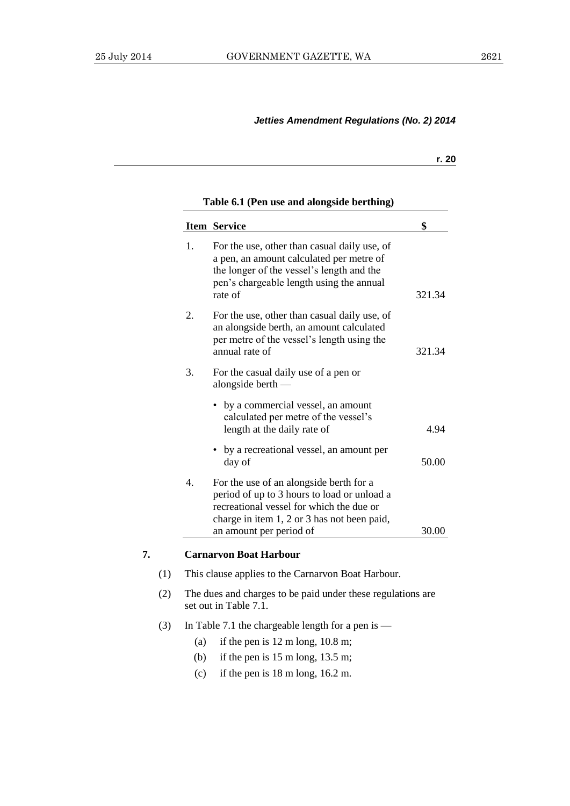#### **r. 20**

#### **Table 6.1 (Pen use and alongside berthing)**

|    | <b>Item Service</b>                                                                                                                                                                          | \$     |
|----|----------------------------------------------------------------------------------------------------------------------------------------------------------------------------------------------|--------|
| 1. | For the use, other than casual daily use, of<br>a pen, an amount calculated per metre of<br>the longer of the vessel's length and the<br>pen's chargeable length using the annual<br>rate of | 321.34 |
| 2. | For the use, other than casual daily use, of<br>an alongside berth, an amount calculated<br>per metre of the vessel's length using the<br>annual rate of                                     | 321.34 |
| 3. | For the casual daily use of a pen or<br>alongside berth $-$                                                                                                                                  |        |
|    | • by a commercial vessel, an amount<br>calculated per metre of the vessel's<br>length at the daily rate of                                                                                   | 4.94   |
|    | • by a recreational vessel, an amount per<br>day of                                                                                                                                          | 50.00  |
| 4. | For the use of an alongside berth for a<br>period of up to 3 hours to load or unload a<br>recreational vessel for which the due or<br>charge in item 1, 2 or 3 has not been paid,            |        |
|    | an amount per period of                                                                                                                                                                      | 30.00  |

## **7. Carnarvon Boat Harbour**

- (1) This clause applies to the Carnarvon Boat Harbour.
- (2) The dues and charges to be paid under these regulations are set out in Table 7.1.
- (3) In Table 7.1 the chargeable length for a pen is
	- (a) if the pen is  $12 \text{ m}$  long,  $10.8 \text{ m}$ ;
	- (b) if the pen is  $15 \text{ m}$  long,  $13.5 \text{ m}$ ;
	- (c) if the pen is 18 m long, 16.2 m.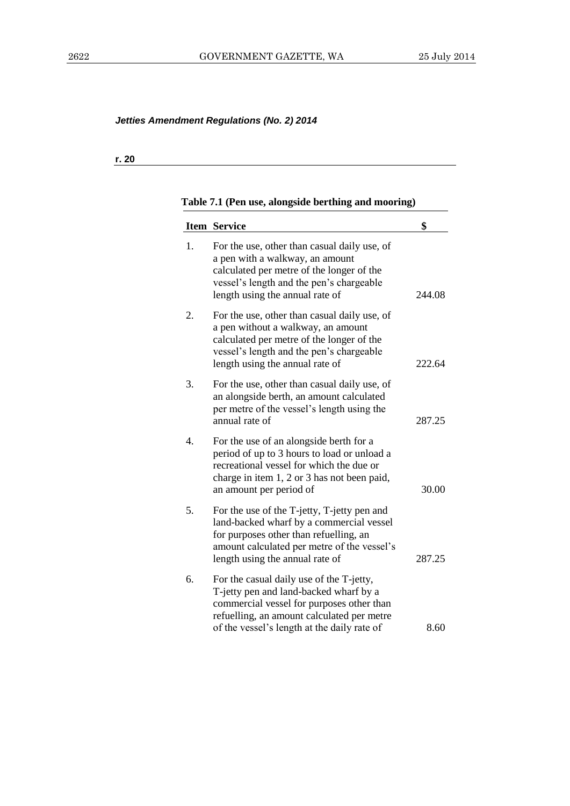## **r. 20**

# **Table 7.1 (Pen use, alongside berthing and mooring)**

|    | <b>Item Service</b>                                                                                                                                                                                                 | \$     |
|----|---------------------------------------------------------------------------------------------------------------------------------------------------------------------------------------------------------------------|--------|
| 1. | For the use, other than casual daily use, of<br>a pen with a walkway, an amount<br>calculated per metre of the longer of the<br>vessel's length and the pen's chargeable<br>length using the annual rate of         | 244.08 |
| 2. | For the use, other than casual daily use, of<br>a pen without a walkway, an amount<br>calculated per metre of the longer of the<br>vessel's length and the pen's chargeable<br>length using the annual rate of      | 222.64 |
| 3. | For the use, other than casual daily use, of<br>an alongside berth, an amount calculated<br>per metre of the vessel's length using the<br>annual rate of                                                            | 287.25 |
| 4. | For the use of an alongside berth for a<br>period of up to 3 hours to load or unload a<br>recreational vessel for which the due or<br>charge in item 1, 2 or 3 has not been paid,<br>an amount per period of        | 30.00  |
| 5. | For the use of the T-jetty, T-jetty pen and<br>land-backed wharf by a commercial vessel<br>for purposes other than refuelling, an<br>amount calculated per metre of the vessel's<br>length using the annual rate of | 287.25 |
| 6. | For the casual daily use of the T-jetty,<br>T-jetty pen and land-backed wharf by a<br>commercial vessel for purposes other than<br>refuelling, an amount calculated per metre                                       | 8.60   |
|    | of the vessel's length at the daily rate of                                                                                                                                                                         |        |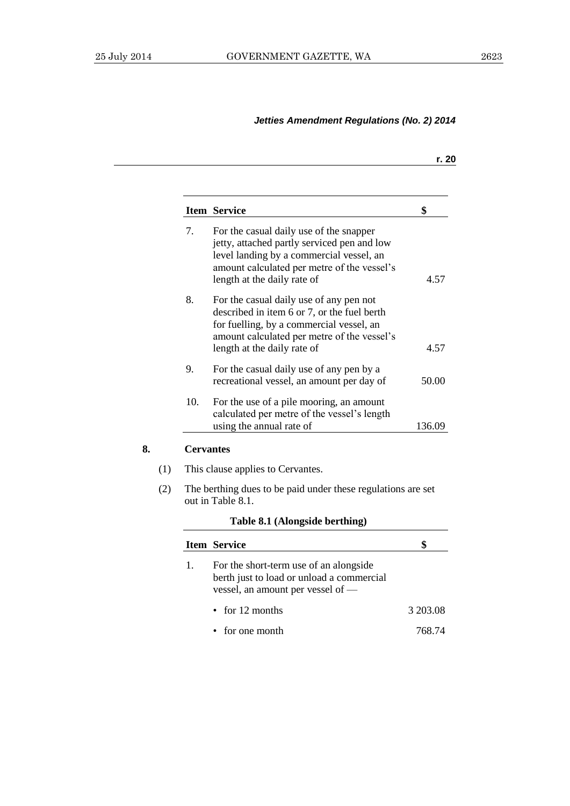**8. Cervantes**

# *Jetties Amendment Regulations (No. 2) 2014*

|                  | <b>Item Service</b>                                                                                                                                                                                              | \$       |
|------------------|------------------------------------------------------------------------------------------------------------------------------------------------------------------------------------------------------------------|----------|
| 7.               | For the casual daily use of the snapper<br>jetty, attached partly serviced pen and low<br>level landing by a commercial vessel, an<br>amount calculated per metre of the vessel's<br>length at the daily rate of | 4.57     |
| 8.               | For the casual daily use of any pen not<br>described in item 6 or 7, or the fuel berth<br>for fuelling, by a commercial vessel, an<br>amount calculated per metre of the vessel's<br>length at the daily rate of | 4.57     |
| 9.               | For the casual daily use of any pen by a<br>recreational vessel, an amount per day of                                                                                                                            | 50.00    |
| 10.              | For the use of a pile mooring, an amount<br>calculated per metre of the vessel's length<br>using the annual rate of                                                                                              | 136.09   |
| <b>Cervantes</b> |                                                                                                                                                                                                                  |          |
|                  | This clause applies to Cervantes.                                                                                                                                                                                |          |
|                  | The berthing dues to be paid under these regulations are set<br>out in Table 8.1.                                                                                                                                |          |
|                  | Table 8.1 (Alongside berthing)                                                                                                                                                                                   |          |
|                  | <b>Item Service</b>                                                                                                                                                                                              | \$       |
| 1.               | For the short-term use of an alongside<br>berth just to load or unload a commercial<br>vessel, an amount per vessel of -                                                                                         |          |
|                  |                                                                                                                                                                                                                  |          |
|                  | for 12 months                                                                                                                                                                                                    | 3 203.08 |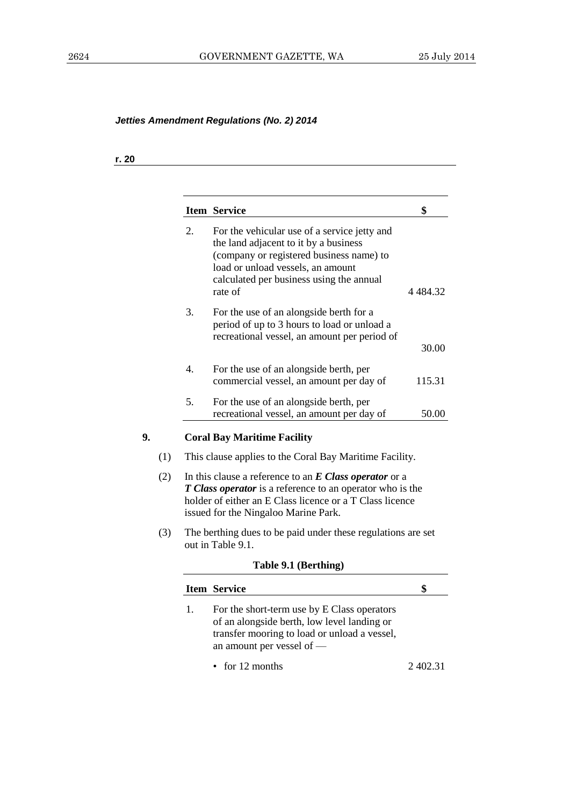## **r. 20**

|     |    | <b>Item Service</b>                                                                                                                                                                                                              | \$       |
|-----|----|----------------------------------------------------------------------------------------------------------------------------------------------------------------------------------------------------------------------------------|----------|
|     | 2. | For the vehicular use of a service jetty and<br>the land adjacent to it by a business<br>(company or registered business name) to<br>load or unload vessels, an amount<br>calculated per business using the annual<br>rate of    | 4 484.32 |
|     | 3. | For the use of an alongside berth for a<br>period of up to 3 hours to load or unload a<br>recreational vessel, an amount per period of                                                                                           | 30.00    |
|     | 4. | For the use of an alongside berth, per<br>commercial vessel, an amount per day of                                                                                                                                                | 115.31   |
|     | 5. | For the use of an alongside berth, per<br>recreational vessel, an amount per day of                                                                                                                                              | 50.00    |
|     |    | <b>Coral Bay Maritime Facility</b>                                                                                                                                                                                               |          |
| (1) |    | This clause applies to the Coral Bay Maritime Facility.                                                                                                                                                                          |          |
| (2) |    | In this clause a reference to an $E$ Class operator or a<br><b>T Class operator</b> is a reference to an operator who is the<br>holder of either an E Class licence or a T Class licence<br>issued for the Ningaloo Marine Park. |          |
| (3) |    | The berthing dues to be paid under these regulations are set<br>out in Table 9.1.                                                                                                                                                |          |
|     |    | Table 9.1 (Berthing)                                                                                                                                                                                                             |          |
|     |    | <b>Item Service</b>                                                                                                                                                                                                              | \$       |
|     | 1. | For the short-term use by E Class operators<br>of an alongside berth, low level landing or<br>transfer mooring to load or unload a vessel,<br>an amount per vessel of -                                                          |          |
|     |    | $\cdot$ for 12 months                                                                                                                                                                                                            | 2 402.31 |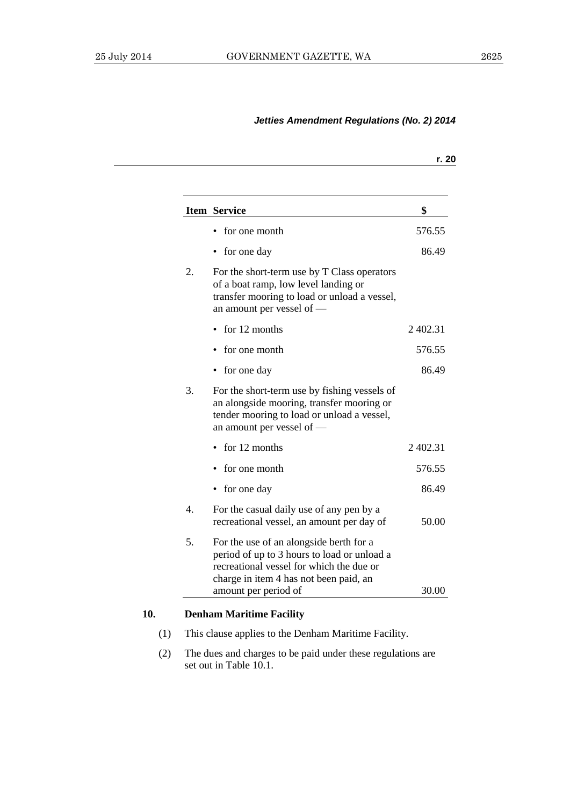|                  | <b>Item Service</b>                                                                                                                                                                                  | \$       |
|------------------|------------------------------------------------------------------------------------------------------------------------------------------------------------------------------------------------------|----------|
|                  | for one month                                                                                                                                                                                        | 576.55   |
|                  | for one day                                                                                                                                                                                          | 86.49    |
| 2.               | For the short-term use by T Class operators<br>of a boat ramp, low level landing or<br>transfer mooring to load or unload a vessel,<br>an amount per vessel of -                                     |          |
|                  | for 12 months                                                                                                                                                                                        | 2 402.31 |
|                  | for one month                                                                                                                                                                                        | 576.55   |
|                  | for one day                                                                                                                                                                                          | 86.49    |
| 3.               | For the short-term use by fishing vessels of<br>an alongside mooring, transfer mooring or<br>tender mooring to load or unload a vessel,<br>an amount per vessel of -                                 |          |
|                  | for 12 months                                                                                                                                                                                        | 2402.31  |
|                  | for one month                                                                                                                                                                                        | 576.55   |
|                  | for one day                                                                                                                                                                                          | 86.49    |
| $\overline{4}$ . | For the casual daily use of any pen by a<br>recreational vessel, an amount per day of                                                                                                                | 50.00    |
| 5.               | For the use of an alongside berth for a<br>period of up to 3 hours to load or unload a<br>recreational vessel for which the due or<br>charge in item 4 has not been paid, an<br>amount per period of | 30.00    |

(2) The dues and charges to be paid under these regulations are set out in Table 10.1.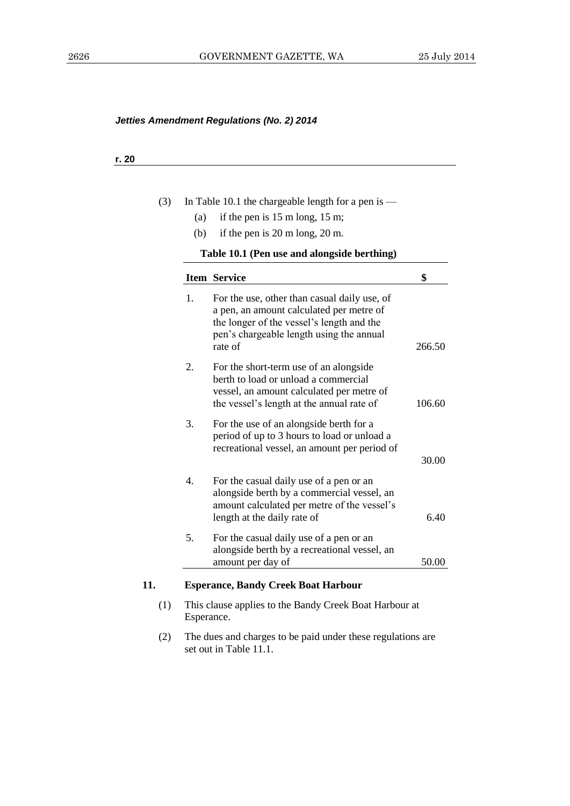## **r. 20**

| (3) |                  | In Table 10.1 the chargeable length for a pen is -                                                                                                                                           |        |
|-----|------------------|----------------------------------------------------------------------------------------------------------------------------------------------------------------------------------------------|--------|
|     | (a)              | if the pen is $15 \text{ m}$ long, $15 \text{ m}$ ;                                                                                                                                          |        |
|     | (b)              | if the pen is 20 m long, 20 m.                                                                                                                                                               |        |
|     |                  | Table 10.1 (Pen use and alongside berthing)                                                                                                                                                  |        |
|     |                  | <b>Item Service</b>                                                                                                                                                                          | \$     |
|     | 1.               | For the use, other than casual daily use, of<br>a pen, an amount calculated per metre of<br>the longer of the vessel's length and the<br>pen's chargeable length using the annual<br>rate of | 266.50 |
|     | 2.               | For the short-term use of an alongside<br>berth to load or unload a commercial<br>vessel, an amount calculated per metre of<br>the vessel's length at the annual rate of                     | 106.60 |
|     | 3.               | For the use of an alongside berth for a<br>period of up to 3 hours to load or unload a<br>recreational vessel, an amount per period of                                                       | 30.00  |
|     | $\overline{4}$ . | For the casual daily use of a pen or an<br>alongside berth by a commercial vessel, an<br>amount calculated per metre of the vessel's<br>length at the daily rate of                          | 6.40   |
|     | 5.               | For the casual daily use of a pen or an<br>alongside berth by a recreational vessel, an<br>amount per day of                                                                                 | 50.00  |
| 11. |                  | <b>Esperance, Bandy Creek Boat Harbour</b>                                                                                                                                                   |        |
| (1) | Esperance.       | This clause applies to the Bandy Creek Boat Harbour at                                                                                                                                       |        |

(2) The dues and charges to be paid under these regulations are set out in Table 11.1.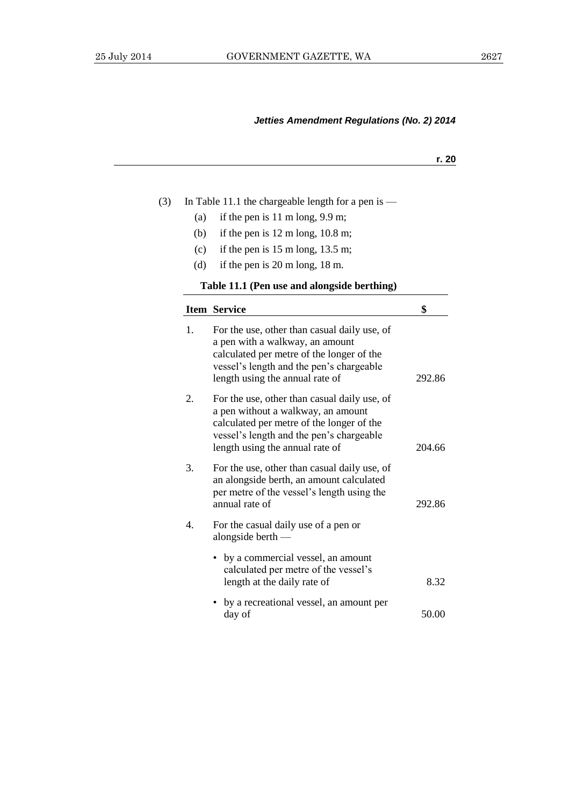|     |                                                                                                                                                                                                                | r. 20  |
|-----|----------------------------------------------------------------------------------------------------------------------------------------------------------------------------------------------------------------|--------|
|     |                                                                                                                                                                                                                |        |
|     | In Table 11.1 the chargeable length for a pen is $-$                                                                                                                                                           |        |
| (a) | if the pen is $11 \text{ m long}$ , $9.9 \text{ m}$ ;                                                                                                                                                          |        |
| (b) | if the pen is $12 \text{ m}$ long, $10.8 \text{ m}$ ;                                                                                                                                                          |        |
| (c) | if the pen is $15 \text{ m}$ long, $13.5 \text{ m}$ ;                                                                                                                                                          |        |
| (d) | if the pen is 20 m long, 18 m.                                                                                                                                                                                 |        |
|     | Table 11.1 (Pen use and alongside berthing)                                                                                                                                                                    |        |
|     | <b>Item Service</b>                                                                                                                                                                                            | \$     |
| 1.  | For the use, other than casual daily use, of<br>a pen with a walkway, an amount<br>calculated per metre of the longer of the<br>vessel's length and the pen's chargeable<br>length using the annual rate of    | 292.86 |
| 2.  | For the use, other than casual daily use, of<br>a pen without a walkway, an amount<br>calculated per metre of the longer of the<br>vessel's length and the pen's chargeable<br>length using the annual rate of | 204.66 |
| 3.  | For the use, other than casual daily use, of<br>an alongside berth, an amount calculated<br>per metre of the vessel's length using the<br>annual rate of                                                       | 292.86 |
| 4.  | For the casual daily use of a pen or<br>alongside berth $-$                                                                                                                                                    |        |
|     | by a commercial vessel, an amount<br>calculated per metre of the vessel's                                                                                                                                      |        |

• by a recreational vessel, an amount per  $day of$  50.00

length at the daily rate of 8.32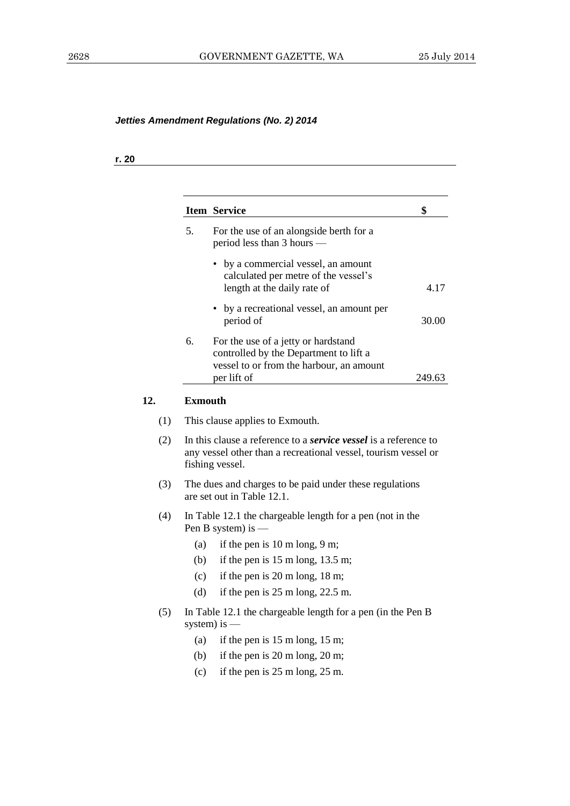## **r. 20**

|     | <b>Item Service</b>                                                                                                                                          | \$     |
|-----|--------------------------------------------------------------------------------------------------------------------------------------------------------------|--------|
| 5.  | For the use of an alongside berth for a<br>period less than 3 hours —                                                                                        |        |
|     | by a commercial vessel, an amount<br>calculated per metre of the vessel's<br>length at the daily rate of                                                     | 4.17   |
|     | • by a recreational vessel, an amount per<br>period of                                                                                                       | 30.00  |
| 6.  | For the use of a jetty or hardstand<br>controlled by the Department to lift a<br>vessel to or from the harbour, an amount<br>per lift of                     | 249.63 |
|     | <b>Exmouth</b>                                                                                                                                               |        |
|     |                                                                                                                                                              |        |
| (1) | This clause applies to Exmouth.                                                                                                                              |        |
| (2) | In this clause a reference to a <i>service vessel</i> is a reference to<br>any vessel other than a recreational vessel, tourism vessel or<br>fishing vessel. |        |
| (3) | The dues and charges to be paid under these regulations<br>are set out in Table 12.1.                                                                        |        |
| (4) | In Table 12.1 the chargeable length for a pen (not in the<br>Pen B system) is                                                                                |        |
| (a) | if the pen is $10 \text{ m}$ long, $9 \text{ m}$ ;                                                                                                           |        |
| (b) | if the pen is $15 \text{ m}$ long, $13.5 \text{ m}$ ;                                                                                                        |        |
| (c) | if the pen is $20 \text{ m}$ long, $18 \text{ m}$ ;                                                                                                          |        |
| (d) | if the pen is $25 \text{ m}$ long, $22.5 \text{ m}$ .                                                                                                        |        |
| (5) | In Table 12.1 the chargeable length for a pen (in the Pen B<br>system) is $-$                                                                                |        |
| (a) | if the pen is $15 \text{ m}$ long, $15 \text{ m}$ ;                                                                                                          |        |
| (b) | if the pen is $20 \text{ m}$ long, $20 \text{ m}$ ;                                                                                                          |        |
| (c) | if the pen is $25 \text{ m}$ long, $25 \text{ m}$ .                                                                                                          |        |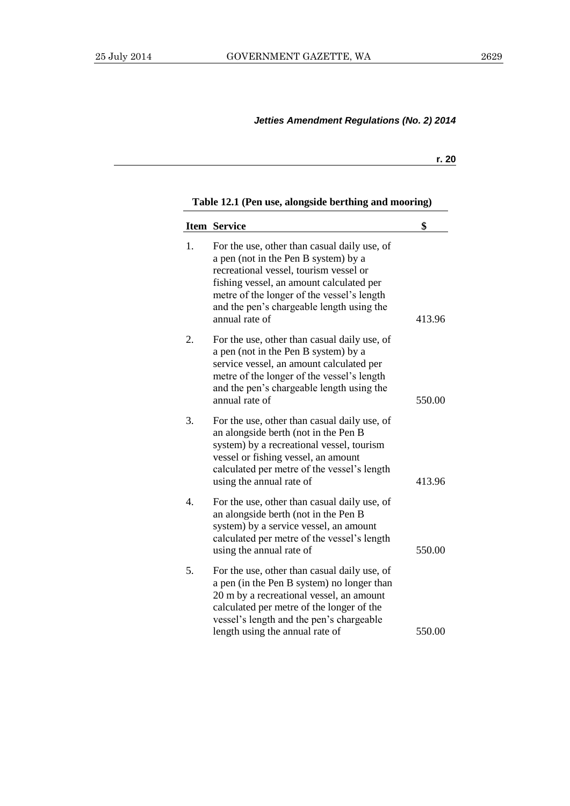**r. 20**

## **Table 12.1 (Pen use, alongside berthing and mooring)**

|    | <b>Item Service</b>                                                                                                                                                                                                                                                                     | \$     |
|----|-----------------------------------------------------------------------------------------------------------------------------------------------------------------------------------------------------------------------------------------------------------------------------------------|--------|
| 1. | For the use, other than casual daily use, of<br>a pen (not in the Pen B system) by a<br>recreational vessel, tourism vessel or<br>fishing vessel, an amount calculated per<br>metre of the longer of the vessel's length<br>and the pen's chargeable length using the<br>annual rate of | 413.96 |
| 2. | For the use, other than casual daily use, of<br>a pen (not in the Pen B system) by a<br>service vessel, an amount calculated per<br>metre of the longer of the vessel's length<br>and the pen's chargeable length using the<br>annual rate of                                           | 550.00 |
| 3. | For the use, other than casual daily use, of<br>an alongside berth (not in the Pen B<br>system) by a recreational vessel, tourism<br>vessel or fishing vessel, an amount<br>calculated per metre of the vessel's length<br>using the annual rate of                                     | 413.96 |
| 4. | For the use, other than casual daily use, of<br>an alongside berth (not in the Pen B<br>system) by a service vessel, an amount<br>calculated per metre of the vessel's length<br>using the annual rate of                                                                               | 550.00 |
| 5. | For the use, other than casual daily use, of<br>a pen (in the Pen B system) no longer than<br>20 m by a recreational vessel, an amount<br>calculated per metre of the longer of the<br>vessel's length and the pen's chargeable<br>length using the annual rate of                      | 550.00 |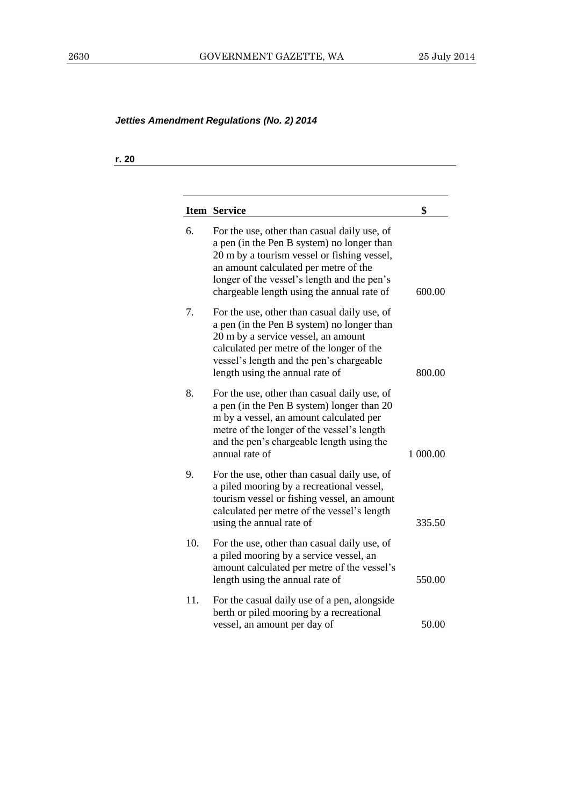**r. 20**

|     | <b>Item Service</b>                                                                                                                                                                                                                                                             | \$       |
|-----|---------------------------------------------------------------------------------------------------------------------------------------------------------------------------------------------------------------------------------------------------------------------------------|----------|
| 6.  | For the use, other than casual daily use, of<br>a pen (in the Pen B system) no longer than<br>20 m by a tourism vessel or fishing vessel,<br>an amount calculated per metre of the<br>longer of the vessel's length and the pen's<br>chargeable length using the annual rate of | 600.00   |
| 7.  | For the use, other than casual daily use, of<br>a pen (in the Pen B system) no longer than<br>20 m by a service vessel, an amount<br>calculated per metre of the longer of the<br>vessel's length and the pen's chargeable<br>length using the annual rate of                   | 800.00   |
| 8.  | For the use, other than casual daily use, of<br>a pen (in the Pen B system) longer than 20<br>m by a vessel, an amount calculated per<br>metre of the longer of the vessel's length<br>and the pen's chargeable length using the<br>annual rate of                              | 1 000.00 |
| 9.  | For the use, other than casual daily use, of<br>a piled mooring by a recreational vessel,<br>tourism vessel or fishing vessel, an amount<br>calculated per metre of the vessel's length<br>using the annual rate of                                                             | 335.50   |
| 10. | For the use, other than casual daily use, of<br>a piled mooring by a service vessel, an<br>amount calculated per metre of the vessel's<br>length using the annual rate of                                                                                                       | 550.00   |
| 11. | For the casual daily use of a pen, alongside<br>berth or piled mooring by a recreational<br>vessel, an amount per day of                                                                                                                                                        | 50.00    |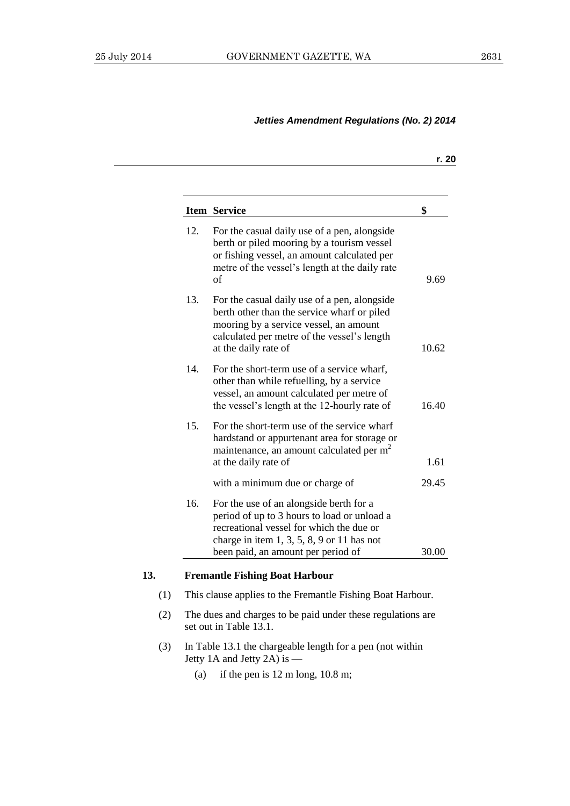|     | <b>Item Service</b>                                                                                                                                                                                          | \$    |
|-----|--------------------------------------------------------------------------------------------------------------------------------------------------------------------------------------------------------------|-------|
| 12. | For the casual daily use of a pen, alongside<br>berth or piled mooring by a tourism vessel<br>or fishing vessel, an amount calculated per<br>metre of the vessel's length at the daily rate<br>$\sigma$ f    | 9.69  |
| 13. | For the casual daily use of a pen, alongside<br>berth other than the service wharf or piled<br>mooring by a service vessel, an amount<br>calculated per metre of the vessel's length<br>at the daily rate of | 10.62 |
| 14. | For the short-term use of a service wharf,<br>other than while refuelling, by a service<br>vessel, an amount calculated per metre of<br>the vessel's length at the 12-hourly rate of                         | 1640  |
| 15. | For the short-term use of the service wharf<br>hardstand or appurtenant area for storage or<br>maintenance, an amount calculated per m <sup>2</sup><br>at the daily rate of                                  | 1.61  |
|     | with a minimum due or charge of                                                                                                                                                                              | 29.45 |
| 16. | For the use of an alongside berth for a<br>period of up to 3 hours to load or unload a<br>recreational vessel for which the due or<br>charge in item $1, 3, 5, 8, 9$ or 11 has not                           |       |
|     | been paid, an amount per period of                                                                                                                                                                           | 30.00 |

#### **13. Fremantle Fishing Boat Harbour**

- (1) This clause applies to the Fremantle Fishing Boat Harbour.
- (2) The dues and charges to be paid under these regulations are set out in Table 13.1.
- (3) In Table 13.1 the chargeable length for a pen (not within Jetty 1A and Jetty 2A) is —
	- (a) if the pen is 12 m long, 10.8 m;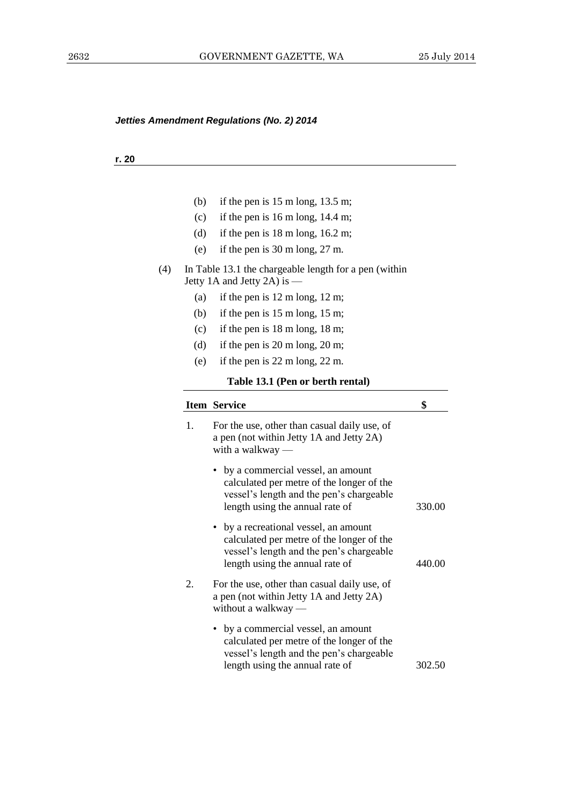#### **r. 20**

- (b) if the pen is  $15 \text{ m}$  long,  $13.5 \text{ m}$ ;
- (c) if the pen is 16 m long, 14.4 m;
- (d) if the pen is  $18 \text{ m}$  long,  $16.2 \text{ m}$ ;
- (e) if the pen is 30 m long, 27 m.
- (4) In Table 13.1 the chargeable length for a pen (within Jetty 1A and Jetty 2A) is —
	- (a) if the pen is 12 m long, 12 m;
	- (b) if the pen is 15 m long, 15 m;
	- (c) if the pen is 18 m long, 18 m;
	- (d) if the pen is 20 m long, 20 m;
	- (e) if the pen is 22 m long, 22 m.

#### **Table 13.1 (Pen or berth rental)**

|                | <b>Item Service</b>                                                                                                                                               | \$     |
|----------------|-------------------------------------------------------------------------------------------------------------------------------------------------------------------|--------|
| $\mathbf{1}$ . | For the use, other than casual daily use, of<br>a pen (not within Jetty 1A and Jetty 2A)<br>with a walkway $-$                                                    |        |
|                | • by a commercial vessel, an amount<br>calculated per metre of the longer of the<br>vessel's length and the pen's chargeable<br>length using the annual rate of   | 330.00 |
|                | • by a recreational vessel, an amount<br>calculated per metre of the longer of the<br>vessel's length and the pen's chargeable<br>length using the annual rate of | 440.00 |
| 2.             | For the use, other than casual daily use, of<br>a pen (not within Jetty 1A and Jetty 2A)<br>without a walkway $-$                                                 |        |
|                | • by a commercial vessel, an amount<br>calculated per metre of the longer of the<br>vessel's length and the pen's chargeable<br>length using the annual rate of   | 302.50 |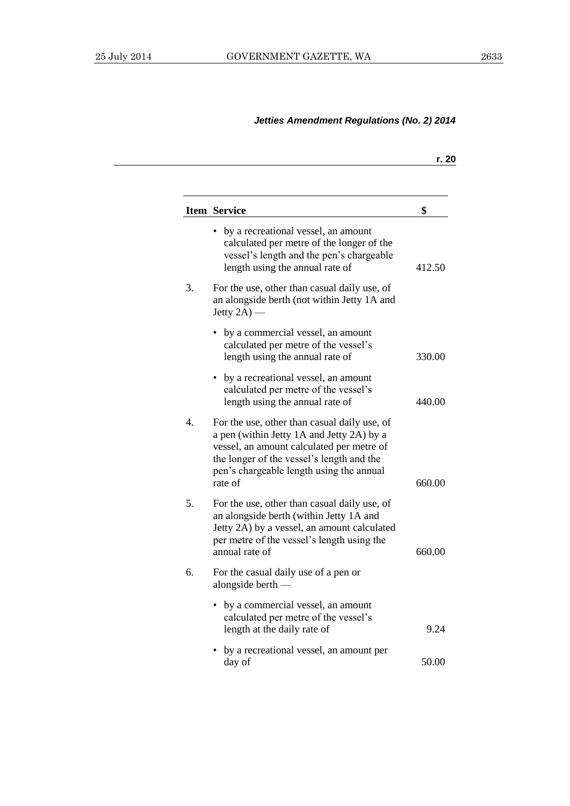|                  |                                                                                                                                                                                                                                            | r. 20  |
|------------------|--------------------------------------------------------------------------------------------------------------------------------------------------------------------------------------------------------------------------------------------|--------|
|                  | <b>Item Service</b>                                                                                                                                                                                                                        | \$     |
|                  | by a recreational vessel, an amount<br>calculated per metre of the longer of the<br>vessel's length and the pen's chargeable<br>length using the annual rate of                                                                            | 412.50 |
| 3.               | For the use, other than casual daily use, of<br>an alongside berth (not within Jetty 1A and<br>Jetty $2A$ ) —                                                                                                                              |        |
|                  | by a commercial vessel, an amount<br>calculated per metre of the vessel's<br>length using the annual rate of                                                                                                                               | 330.00 |
|                  | • by a recreational vessel, an amount<br>calculated per metre of the vessel's<br>length using the annual rate of                                                                                                                           | 440.00 |
| $\overline{4}$ . | For the use, other than casual daily use, of<br>a pen (within Jetty 1A and Jetty 2A) by a<br>vessel, an amount calculated per metre of<br>the longer of the vessel's length and the<br>pen's chargeable length using the annual<br>rate of | 660.00 |
| 5.               | For the use, other than casual daily use, of<br>an alongside berth (within Jetty 1A and<br>Jetty 2A) by a vessel, an amount calculated<br>per metre of the vessel's length using the<br>annual rate of                                     | 660.00 |
| 6.               | For the casual daily use of a pen or<br>alongside berth $-$                                                                                                                                                                                |        |
|                  | by a commercial vessel, an amount<br>calculated per metre of the vessel's<br>length at the daily rate of                                                                                                                                   | 9.24   |
|                  | by a recreational vessel, an amount per<br>day of                                                                                                                                                                                          | 50.00  |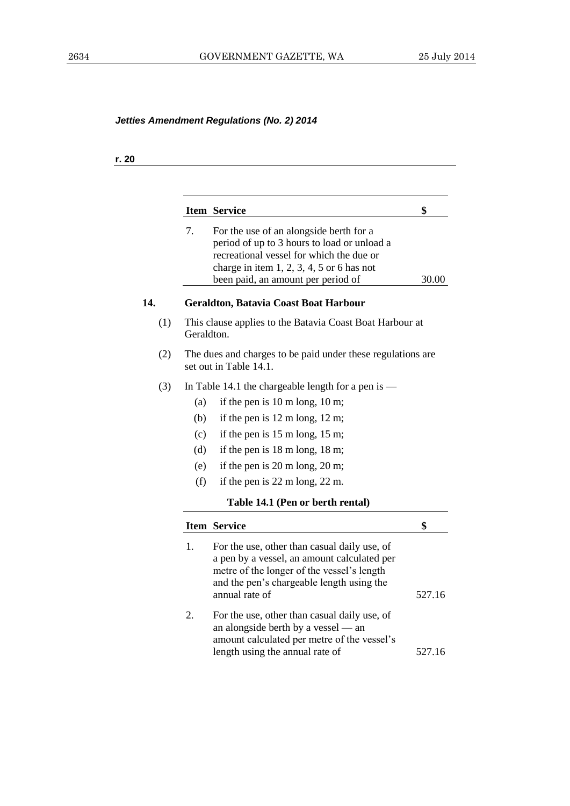## **r. 20**

|     |            | <b>Item Service</b>                                                                                                                                                                                                     | \$     |
|-----|------------|-------------------------------------------------------------------------------------------------------------------------------------------------------------------------------------------------------------------------|--------|
|     | 7.         | For the use of an alongside berth for a<br>period of up to 3 hours to load or unload a<br>recreational vessel for which the due or<br>charge in item $1, 2, 3, 4, 5$ or 6 has not<br>been paid, an amount per period of | 30.00  |
|     |            | Geraldton, Batavia Coast Boat Harbour                                                                                                                                                                                   |        |
| (1) | Geraldton. | This clause applies to the Batavia Coast Boat Harbour at                                                                                                                                                                |        |
| (2) |            | The dues and charges to be paid under these regulations are<br>set out in Table 14.1.                                                                                                                                   |        |
| (3) |            | In Table 14.1 the chargeable length for a pen is $-$                                                                                                                                                                    |        |
|     | (a)        | if the pen is $10 \text{ m}$ long, $10 \text{ m}$ ;                                                                                                                                                                     |        |
|     | (b)        | if the pen is $12 \text{ m}$ long, $12 \text{ m}$ ;                                                                                                                                                                     |        |
|     | (c)        | if the pen is $15 \text{ m}$ long, $15 \text{ m}$ ;                                                                                                                                                                     |        |
|     | (d)        | if the pen is $18 \text{ m}$ long, $18 \text{ m}$ ;                                                                                                                                                                     |        |
|     | (e)        | if the pen is $20 \text{ m}$ long, $20 \text{ m}$ ;                                                                                                                                                                     |        |
|     | (f)        | if the pen is $22 \text{ m}$ long, $22 \text{ m}$ .                                                                                                                                                                     |        |
|     |            | Table 14.1 (Pen or berth rental)                                                                                                                                                                                        |        |
|     |            | <b>Item Service</b>                                                                                                                                                                                                     | \$     |
|     | 1.         | For the use, other than casual daily use, of<br>a pen by a vessel, an amount calculated per<br>metre of the longer of the vessel's length<br>and the pen's chargeable length using the<br>annual rate of                | 527.16 |
|     | 2.         | For the use, other than casual daily use, of<br>an alongside berth by a vessel — an<br>amount calculated per metre of the vessel's<br>length using the annual rate of                                                   | 527.16 |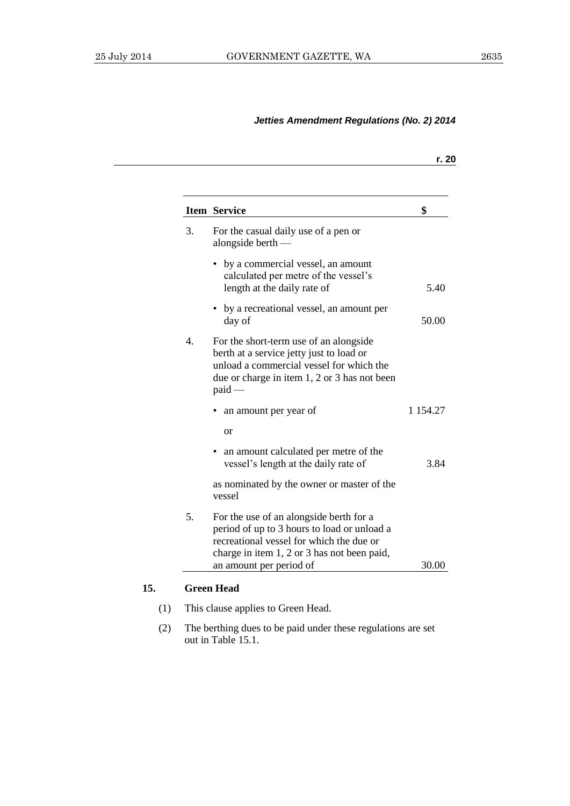|                  | Item Service                                                                                                                                                                                                 | \$            |
|------------------|--------------------------------------------------------------------------------------------------------------------------------------------------------------------------------------------------------------|---------------|
| 3.               | For the casual daily use of a pen or<br>alongside berth $-$                                                                                                                                                  |               |
|                  | • by a commercial vessel, an amount<br>calculated per metre of the vessel's<br>length at the daily rate of                                                                                                   | 5.40          |
|                  | • by a recreational vessel, an amount per<br>day of                                                                                                                                                          | 50.00         |
| $\overline{4}$ . | For the short-term use of an alongside<br>berth at a service jetty just to load or<br>unload a commercial vessel for which the<br>due or charge in item 1, 2 or 3 has not been<br>$paid -$                   |               |
|                  | an amount per year of                                                                                                                                                                                        | 1 1 5 4 . 2 7 |
|                  | <sub>or</sub>                                                                                                                                                                                                |               |
|                  | • an amount calculated per metre of the<br>vessel's length at the daily rate of                                                                                                                              | 3.84          |
|                  | as nominated by the owner or master of the<br>vessel                                                                                                                                                         |               |
| 5.               | For the use of an alongside berth for a<br>period of up to 3 hours to load or unload a<br>recreational vessel for which the due or<br>charge in item 1, 2 or 3 has not been paid,<br>an amount per period of | 30.00         |

- (1) This clause applies to Green Head.
- (2) The berthing dues to be paid under these regulations are set out in Table 15.1.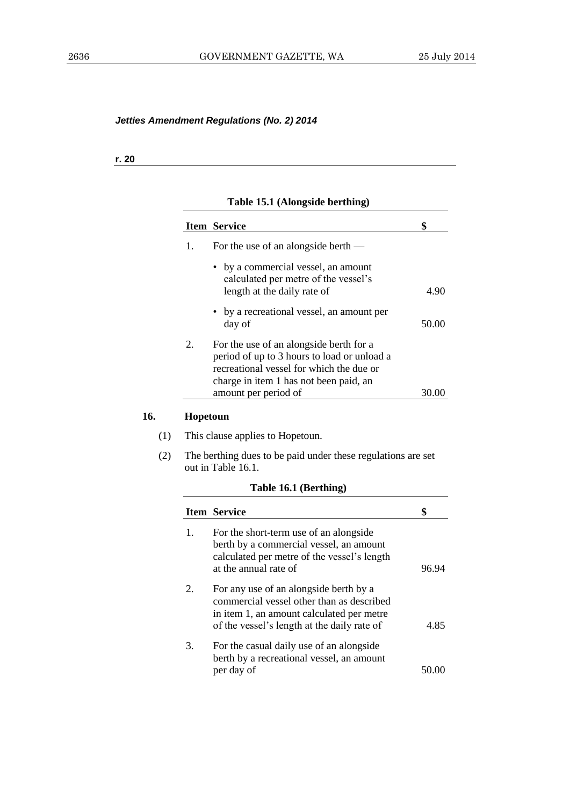**r. 20**

## **Table 15.1 (Alongside berthing)**

|    | <b>Item Service</b>                                                                                                                                                          |       |
|----|------------------------------------------------------------------------------------------------------------------------------------------------------------------------------|-------|
| 1. | For the use of an alongside berth —                                                                                                                                          |       |
|    | • by a commercial vessel, an amount<br>calculated per metre of the vessel's<br>length at the daily rate of                                                                   | 4.90  |
|    | • by a recreational vessel, an amount per<br>day of                                                                                                                          | 50.00 |
| 2. | For the use of an alongside berth for a<br>period of up to 3 hours to load or unload a<br>recreational vessel for which the due or<br>charge in item 1 has not been paid, an |       |
|    | amount per period of                                                                                                                                                         |       |

## **16. Hopetoun**

- (1) This clause applies to Hopetoun.
- (2) The berthing dues to be paid under these regulations are set out in Table 16.1.

## **Table 16.1 (Berthing)**

| <b>Item Service</b>                                                                                                                                                             |       |
|---------------------------------------------------------------------------------------------------------------------------------------------------------------------------------|-------|
| For the short-term use of an alongside<br>berth by a commercial vessel, an amount<br>calculated per metre of the vessel's length<br>at the annual rate of                       | 96 94 |
| For any use of an alongside berth by a<br>commercial vessel other than as described<br>in item 1, an amount calculated per metre<br>of the vessel's length at the daily rate of | 4.85  |
| For the casual daily use of an alongside<br>berth by a recreational vessel, an amount<br>per day of                                                                             |       |
|                                                                                                                                                                                 |       |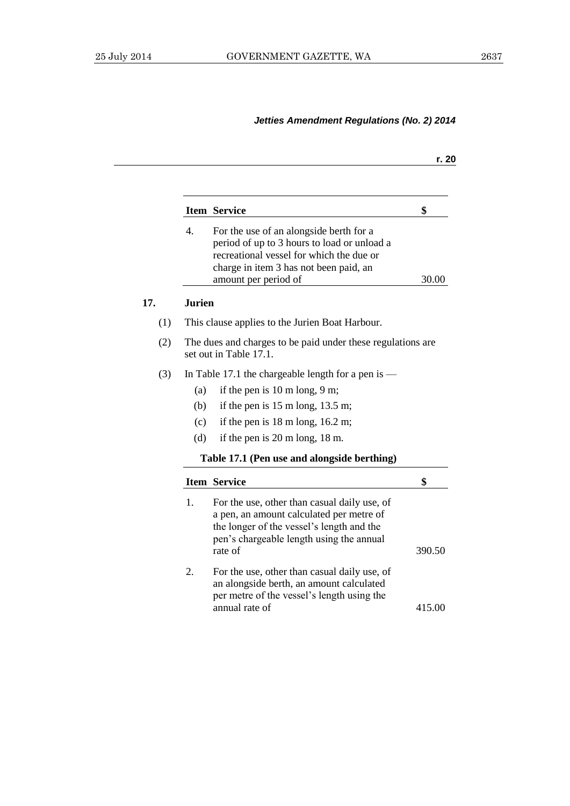|     |                  |                                                                                                                                                                                                      | r. 20  |
|-----|------------------|------------------------------------------------------------------------------------------------------------------------------------------------------------------------------------------------------|--------|
|     |                  |                                                                                                                                                                                                      |        |
|     |                  | <b>Item Service</b>                                                                                                                                                                                  | \$     |
|     | $\overline{4}$ . | For the use of an alongside berth for a<br>period of up to 3 hours to load or unload a<br>recreational vessel for which the due or<br>charge in item 3 has not been paid, an<br>amount per period of | 30.00  |
| 17. | <b>Jurien</b>    |                                                                                                                                                                                                      |        |
| (1) |                  | This clause applies to the Jurien Boat Harbour.                                                                                                                                                      |        |
| (2) |                  | The dues and charges to be paid under these regulations are<br>set out in Table 17.1.                                                                                                                |        |
| (3) |                  | In Table 17.1 the chargeable length for a pen is $-$                                                                                                                                                 |        |
|     | (a)              | if the pen is $10 \text{ m}$ long, $9 \text{ m}$ ;                                                                                                                                                   |        |
|     | (b)              | if the pen is $15 \text{ m}$ long, $13.5 \text{ m}$ ;                                                                                                                                                |        |
|     | (c)              | if the pen is $18 \text{ m}$ long, $16.2 \text{ m}$ ;                                                                                                                                                |        |
|     | (d)              | if the pen is $20 \text{ m}$ long, $18 \text{ m}$ .                                                                                                                                                  |        |
|     |                  | Table 17.1 (Pen use and alongside berthing)                                                                                                                                                          |        |
|     |                  | <b>Item Service</b>                                                                                                                                                                                  | \$     |
|     | 1.               | For the use, other than casual daily use, of<br>a pen, an amount calculated per metre of<br>the longer of the vessel's length and the<br>pen's chargeable length using the annual<br>rate of         | 390.50 |
|     | 2.               | For the use, other than casual daily use, of<br>an alongside berth, an amount calculated<br>per metre of the vessel's length using the<br>annual rate of                                             | 415.00 |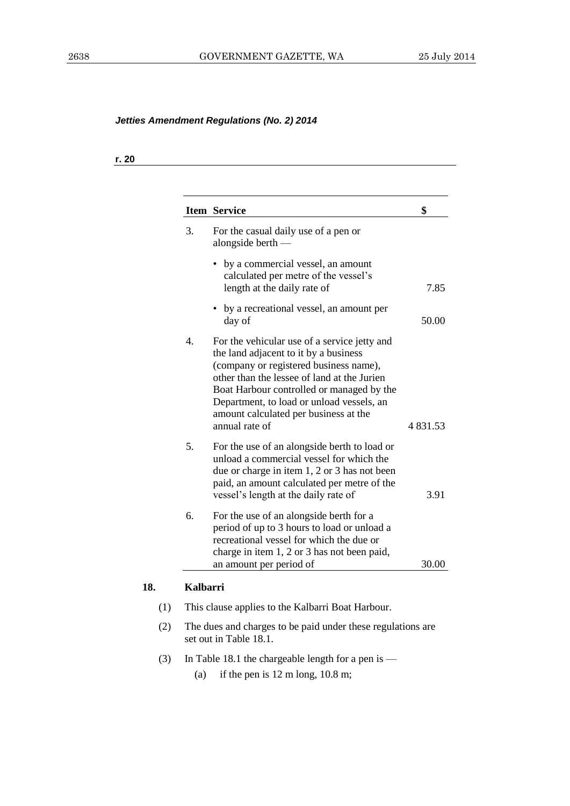# **r. 20**

|                  | <b>Item Service</b>                                                                                                                                                                                                                                                                                                                 | \$            |
|------------------|-------------------------------------------------------------------------------------------------------------------------------------------------------------------------------------------------------------------------------------------------------------------------------------------------------------------------------------|---------------|
| 3.               | For the casual daily use of a pen or<br>alongside berth $-$                                                                                                                                                                                                                                                                         |               |
|                  | by a commercial vessel, an amount<br>calculated per metre of the vessel's<br>length at the daily rate of                                                                                                                                                                                                                            | 7.85          |
|                  | by a recreational vessel, an amount per<br>day of                                                                                                                                                                                                                                                                                   | 50.00         |
| $\overline{4}$ . | For the vehicular use of a service jetty and<br>the land adjacent to it by a business<br>(company or registered business name),<br>other than the lessee of land at the Jurien<br>Boat Harbour controlled or managed by the<br>Department, to load or unload vessels, an<br>amount calculated per business at the<br>annual rate of | 4 8 3 1 . 5 3 |
| 5.               | For the use of an alongside berth to load or<br>unload a commercial vessel for which the<br>due or charge in item 1, 2 or 3 has not been<br>paid, an amount calculated per metre of the<br>vessel's length at the daily rate of                                                                                                     | 3.91          |
| 6.               | For the use of an alongside berth for a<br>period of up to 3 hours to load or unload a<br>recreational vessel for which the due or<br>charge in item 1, 2 or 3 has not been paid,<br>an amount per period of                                                                                                                        | 30.00         |
| <b>Kalbarri</b>  |                                                                                                                                                                                                                                                                                                                                     |               |
|                  | This clause applies to the Kalbarri Boat Harbour.                                                                                                                                                                                                                                                                                   |               |
|                  | The dues and charges to be paid under these regulations are<br>set out in Table 18.1.                                                                                                                                                                                                                                               |               |

- (3) In Table 18.1 the chargeable length for a pen is
	- (a) if the pen is 12 m long, 10.8 m;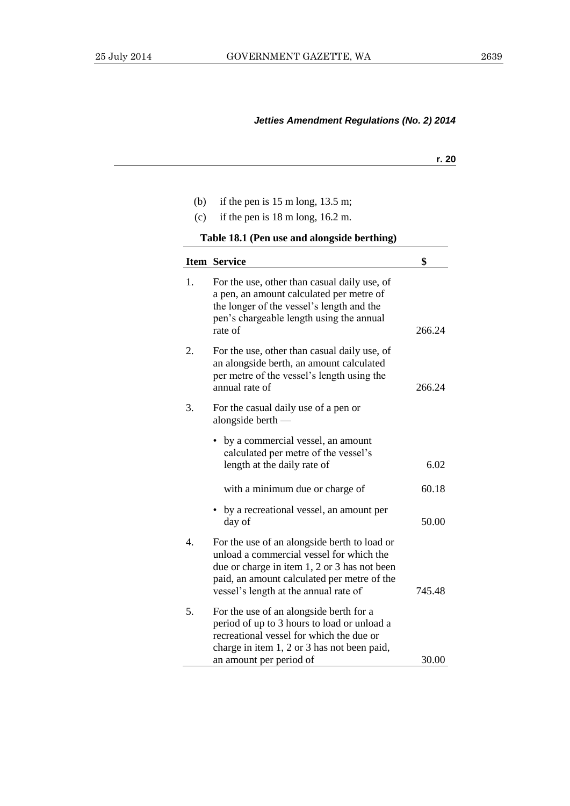- (b) if the pen is 15 m long, 13.5 m;
- (c) if the pen is 18 m long, 16.2 m.

**Table 18.1 (Pen use and alongside berthing)**

|                  | Item Service                                                                                                                                                                                                                     | \$     |
|------------------|----------------------------------------------------------------------------------------------------------------------------------------------------------------------------------------------------------------------------------|--------|
| 1.               | For the use, other than casual daily use, of<br>a pen, an amount calculated per metre of<br>the longer of the vessel's length and the<br>pen's chargeable length using the annual<br>rate of                                     | 266.24 |
| 2.               | For the use, other than casual daily use, of<br>an alongside berth, an amount calculated<br>per metre of the vessel's length using the<br>annual rate of                                                                         | 266.24 |
| 3.               | For the casual daily use of a pen or<br>alongside berth $-$                                                                                                                                                                      |        |
|                  | by a commercial vessel, an amount<br>calculated per metre of the vessel's<br>length at the daily rate of                                                                                                                         | 6.02   |
|                  | with a minimum due or charge of                                                                                                                                                                                                  | 60.18  |
|                  | • by a recreational vessel, an amount per<br>day of                                                                                                                                                                              | 50.00  |
| $\overline{4}$ . | For the use of an alongside berth to load or<br>unload a commercial vessel for which the<br>due or charge in item 1, 2 or 3 has not been<br>paid, an amount calculated per metre of the<br>vessel's length at the annual rate of | 745.48 |
| 5.               | For the use of an alongside berth for a<br>period of up to 3 hours to load or unload a<br>recreational vessel for which the due or<br>charge in item 1, 2 or 3 has not been paid,<br>an amount per period of                     | 30.00  |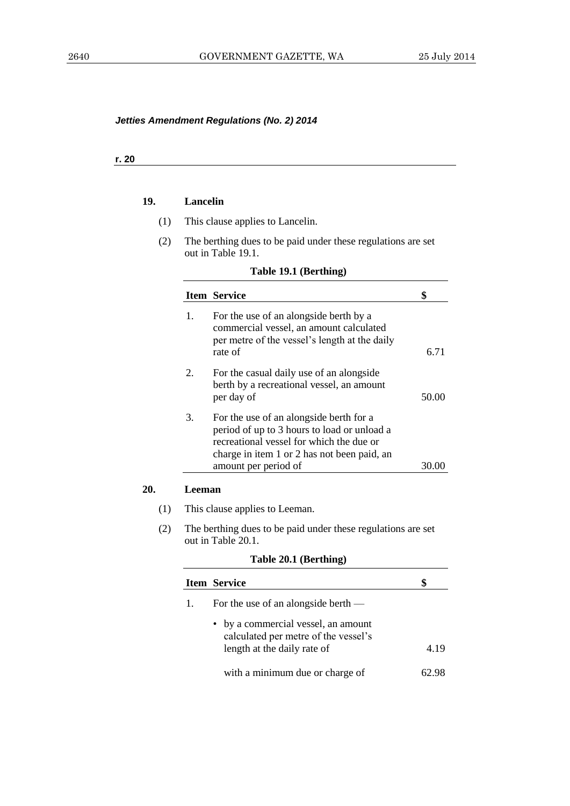#### **r. 20**

**20.** 

#### **19. Lancelin**

- (1) This clause applies to Lancelin.
- (2) The berthing dues to be paid under these regulations are set out in Table 19.1.

|        | <b>Item Service</b>                                                                                                                                                               | \$    |
|--------|-----------------------------------------------------------------------------------------------------------------------------------------------------------------------------------|-------|
| 1.     | For the use of an alongside berth by a<br>commercial vessel, an amount calculated<br>per metre of the vessel's length at the daily<br>rate of                                     | 6.71  |
| 2.     | For the casual daily use of an alongside<br>berth by a recreational vessel, an amount<br>per day of                                                                               | 50.00 |
| 3.     | For the use of an alongside berth for a<br>period of up to 3 hours to load or unload a<br>recreational vessel for which the due or<br>charge in item 1 or 2 has not been paid, an |       |
|        | amount per period of                                                                                                                                                              | 30.00 |
| Leeman | This clause applies to Leeman.                                                                                                                                                    |       |
|        | The berthing dues to be paid under these regulations are set<br>out in Table 20.1.                                                                                                |       |

#### **Table 20.1 (Berthing)**

|    | <b>Item Service</b>                                                                                        |      |
|----|------------------------------------------------------------------------------------------------------------|------|
| 1. | For the use of an alongside berth —                                                                        |      |
|    | • by a commercial vessel, an amount<br>calculated per metre of the vessel's<br>length at the daily rate of | 4 19 |
|    | with a minimum due or charge of                                                                            |      |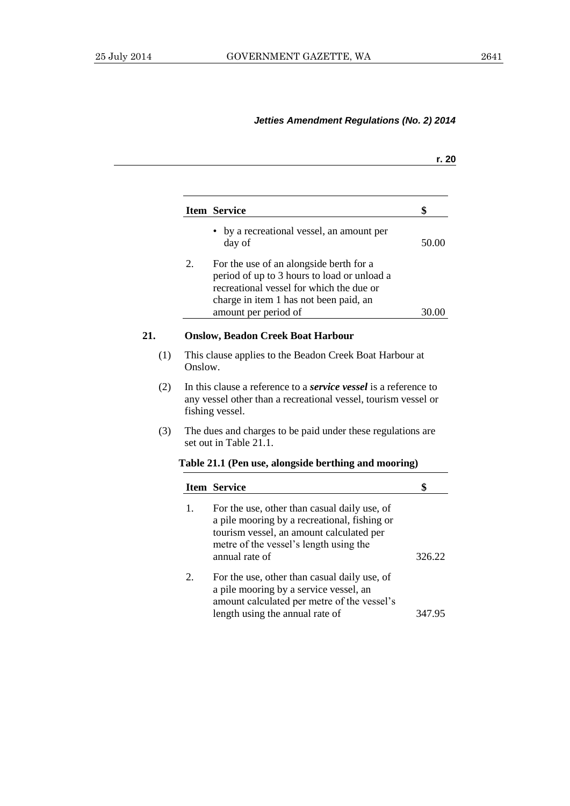|    |                                                                                                                                                                                                      | r. 20                                                                                                                                                                                                                                                                                                                                                                                                                                                                  |
|----|------------------------------------------------------------------------------------------------------------------------------------------------------------------------------------------------------|------------------------------------------------------------------------------------------------------------------------------------------------------------------------------------------------------------------------------------------------------------------------------------------------------------------------------------------------------------------------------------------------------------------------------------------------------------------------|
|    |                                                                                                                                                                                                      |                                                                                                                                                                                                                                                                                                                                                                                                                                                                        |
|    |                                                                                                                                                                                                      | \$                                                                                                                                                                                                                                                                                                                                                                                                                                                                     |
|    | • by a recreational vessel, an amount per<br>day of                                                                                                                                                  | 50.00                                                                                                                                                                                                                                                                                                                                                                                                                                                                  |
| 2. | For the use of an alongside berth for a<br>period of up to 3 hours to load or unload a<br>recreational vessel for which the due or<br>charge in item 1 has not been paid, an<br>amount per period of | 30.00                                                                                                                                                                                                                                                                                                                                                                                                                                                                  |
|    |                                                                                                                                                                                                      |                                                                                                                                                                                                                                                                                                                                                                                                                                                                        |
|    |                                                                                                                                                                                                      |                                                                                                                                                                                                                                                                                                                                                                                                                                                                        |
|    |                                                                                                                                                                                                      |                                                                                                                                                                                                                                                                                                                                                                                                                                                                        |
|    |                                                                                                                                                                                                      |                                                                                                                                                                                                                                                                                                                                                                                                                                                                        |
|    |                                                                                                                                                                                                      |                                                                                                                                                                                                                                                                                                                                                                                                                                                                        |
|    |                                                                                                                                                                                                      | \$                                                                                                                                                                                                                                                                                                                                                                                                                                                                     |
| 1. | For the use, other than casual daily use, of<br>a pile mooring by a recreational, fishing or<br>tourism vessel, an amount calculated per<br>metre of the vessel's length using the<br>annual rate of | 326.22                                                                                                                                                                                                                                                                                                                                                                                                                                                                 |
| 2. | For the use, other than casual daily use, of<br>a pile mooring by a service vessel, an<br>amount calculated per metre of the vessel's<br>length using the annual rate of                             | 347.95                                                                                                                                                                                                                                                                                                                                                                                                                                                                 |
|    |                                                                                                                                                                                                      | Item Service<br><b>Onslow, Beadon Creek Boat Harbour</b><br>This clause applies to the Beadon Creek Boat Harbour at<br>Onslow.<br>In this clause a reference to a <i>service vessel</i> is a reference to<br>any vessel other than a recreational vessel, tourism vessel or<br>fishing vessel.<br>The dues and charges to be paid under these regulations are<br>set out in Table 21.1.<br>Table 21.1 (Pen use, alongside berthing and mooring)<br><b>Item Service</b> |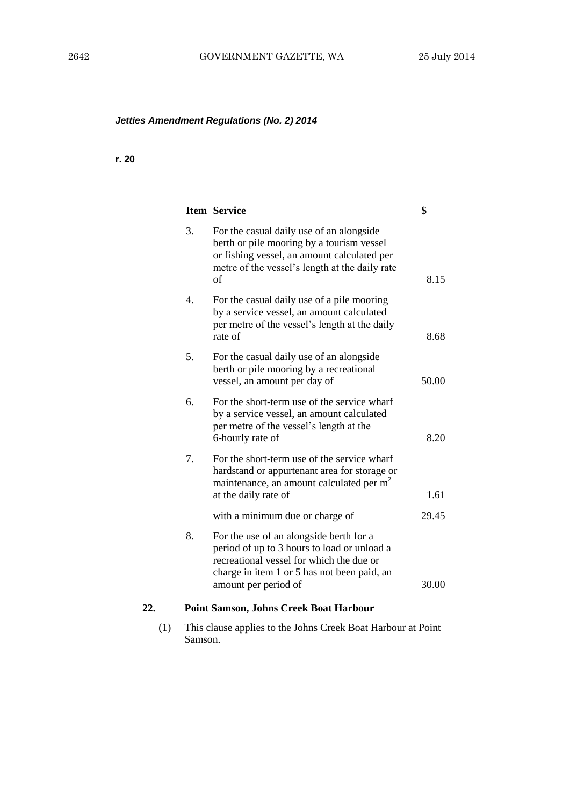#### **r. 20**

|    | <b>Item Service</b>                                                                                                                                                                                       |  |
|----|-----------------------------------------------------------------------------------------------------------------------------------------------------------------------------------------------------------|--|
| 3. | For the casual daily use of an alongside<br>berth or pile mooring by a tourism vessel<br>or fishing vessel, an amount calculated per<br>metre of the vessel's length at the daily rate<br>of              |  |
| 4. | For the casual daily use of a pile mooring<br>by a service vessel, an amount calculated<br>per metre of the vessel's length at the daily<br>rate of                                                       |  |
| 5. | For the casual daily use of an alongside<br>berth or pile mooring by a recreational<br>vessel, an amount per day of                                                                                       |  |
| 6. | For the short-term use of the service wharf<br>by a service vessel, an amount calculated<br>per metre of the vessel's length at the<br>6-hourly rate of                                                   |  |
| 7. | For the short-term use of the service wharf<br>hardstand or appurtenant area for storage or<br>maintenance, an amount calculated per m <sup>2</sup><br>at the daily rate of                               |  |
|    | with a minimum due or charge of                                                                                                                                                                           |  |
| 8. | For the use of an alongside berth for a<br>period of up to 3 hours to load or unload a<br>recreational vessel for which the due or<br>charge in item 1 or 5 has not been paid, an<br>amount per period of |  |

(1) This clause applies to the Johns Creek Boat Harbour at Point Samson.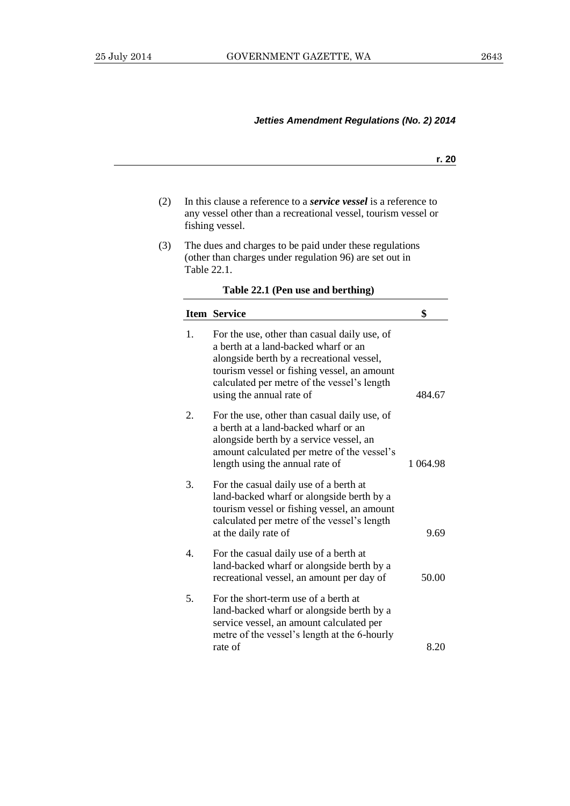| ×<br>۰. |
|---------|
|---------|

- (2) In this clause a reference to a *service vessel* is a reference to any vessel other than a recreational vessel, tourism vessel or fishing vessel.
- (3) The dues and charges to be paid under these regulations (other than charges under regulation 96) are set out in Table 22.1.

|    | <b>Item Service</b>                                                                                                                                                                                                                                         | \$       |
|----|-------------------------------------------------------------------------------------------------------------------------------------------------------------------------------------------------------------------------------------------------------------|----------|
| 1. | For the use, other than casual daily use, of<br>a berth at a land-backed wharf or an<br>alongside berth by a recreational vessel,<br>tourism vessel or fishing vessel, an amount<br>calculated per metre of the vessel's length<br>using the annual rate of | 484.67   |
| 2. | For the use, other than casual daily use, of<br>a berth at a land-backed wharf or an<br>alongside berth by a service vessel, an<br>amount calculated per metre of the vessel's<br>length using the annual rate of                                           | 1 064.98 |
| 3. | For the casual daily use of a berth at<br>land-backed wharf or alongside berth by a<br>tourism vessel or fishing vessel, an amount<br>calculated per metre of the vessel's length<br>at the daily rate of                                                   | 9.69     |
| 4. | For the casual daily use of a berth at<br>land-backed wharf or alongside berth by a<br>recreational vessel, an amount per day of                                                                                                                            | 50.00    |
| 5. | For the short-term use of a berth at<br>land-backed wharf or alongside berth by a<br>service vessel, an amount calculated per<br>metre of the vessel's length at the 6-hourly                                                                               |          |
|    | rate of                                                                                                                                                                                                                                                     | 8.20     |

## **Table 22.1 (Pen use and berthing)**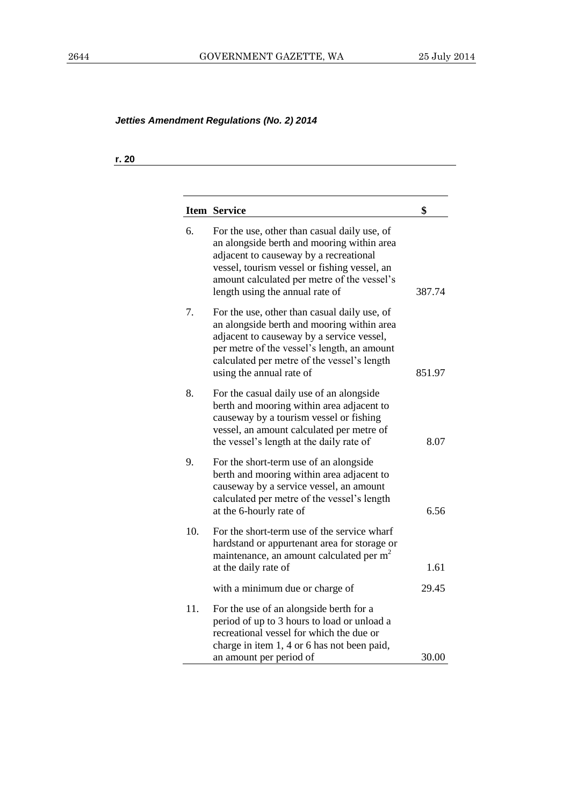**r. 20**

|     | <b>Item Service</b>                                                                                                                                                                                                                                                    | \$     |
|-----|------------------------------------------------------------------------------------------------------------------------------------------------------------------------------------------------------------------------------------------------------------------------|--------|
| 6.  | For the use, other than casual daily use, of<br>an alongside berth and mooring within area<br>adjacent to causeway by a recreational<br>vessel, tourism vessel or fishing vessel, an<br>amount calculated per metre of the vessel's<br>length using the annual rate of | 387.74 |
| 7.  | For the use, other than casual daily use, of<br>an alongside berth and mooring within area<br>adjacent to causeway by a service vessel,<br>per metre of the vessel's length, an amount<br>calculated per metre of the vessel's length<br>using the annual rate of      | 851.97 |
| 8.  | For the casual daily use of an alongside<br>berth and mooring within area adjacent to<br>causeway by a tourism vessel or fishing<br>vessel, an amount calculated per metre of<br>the vessel's length at the daily rate of                                              | 8.07   |
| 9.  | For the short-term use of an alongside<br>berth and mooring within area adjacent to<br>causeway by a service vessel, an amount<br>calculated per metre of the vessel's length<br>at the 6-hourly rate of                                                               | 6.56   |
| 10. | For the short-term use of the service wharf<br>hardstand or appurtenant area for storage or<br>maintenance, an amount calculated per m <sup>2</sup><br>at the daily rate of                                                                                            | 1.61   |
|     | with a minimum due or charge of                                                                                                                                                                                                                                        | 29.45  |
| 11. | For the use of an alongside berth for a<br>period of up to 3 hours to load or unload a<br>recreational vessel for which the due or<br>charge in item 1, 4 or 6 has not been paid,<br>an amount per period of                                                           | 30.00  |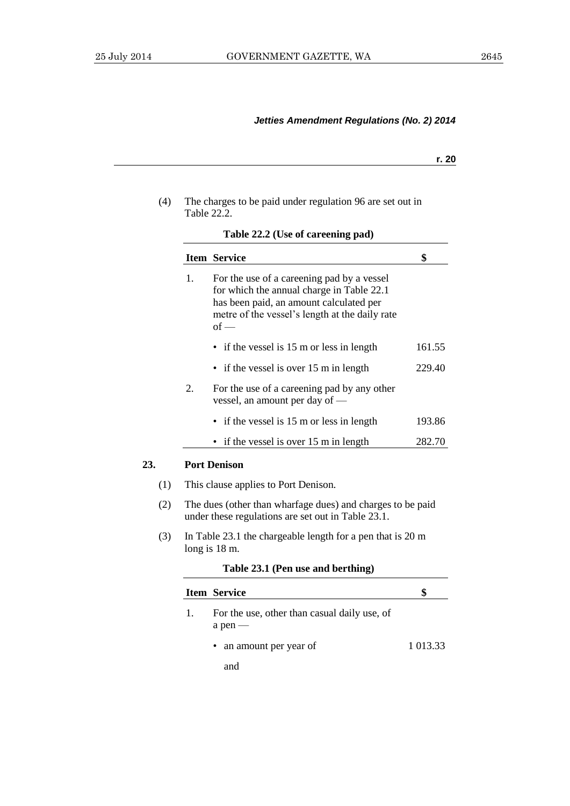**23.** 

# *Jetties Amendment Regulations (No. 2) 2014*

| ۰.<br>× |
|---------|
|---------|

| (4) | The charges to be paid under regulation 96 are set out in |
|-----|-----------------------------------------------------------|
|     | Table 22.2.                                               |

|    | <b>Item Service</b>                                                                                                                                                                            | \$       |
|----|------------------------------------------------------------------------------------------------------------------------------------------------------------------------------------------------|----------|
| 1. | For the use of a careening pad by a vessel<br>for which the annual charge in Table 22.1<br>has been paid, an amount calculated per<br>metre of the vessel's length at the daily rate<br>$of -$ |          |
|    | • if the vessel is 15 m or less in length                                                                                                                                                      | 161.55   |
|    | if the vessel is over 15 m in length                                                                                                                                                           | 229.40   |
| 2. | For the use of a careening pad by any other<br>vessel, an amount per day of —                                                                                                                  |          |
|    | if the vessel is 15 m or less in length                                                                                                                                                        | 193.86   |
|    | if the vessel is over 15 m in length                                                                                                                                                           | 282.70   |
|    | <b>Port Denison</b>                                                                                                                                                                            |          |
|    | This clause applies to Port Denison.                                                                                                                                                           |          |
|    | The dues (other than wharfage dues) and charges to be paid<br>under these regulations are set out in Table 23.1.                                                                               |          |
|    | In Table 23.1 the chargeable length for a pen that is 20 m<br>long is 18 m.                                                                                                                    |          |
|    | Table 23.1 (Pen use and berthing)                                                                                                                                                              |          |
|    | <b>Item Service</b>                                                                                                                                                                            | \$       |
| 1. | For the use, other than casual daily use, of<br>$a$ pen $-$                                                                                                                                    |          |
|    | an amount per year of                                                                                                                                                                          | 1 013.33 |
|    | and                                                                                                                                                                                            |          |
|    |                                                                                                                                                                                                |          |

**Table 22.2 (Use of careening pad)**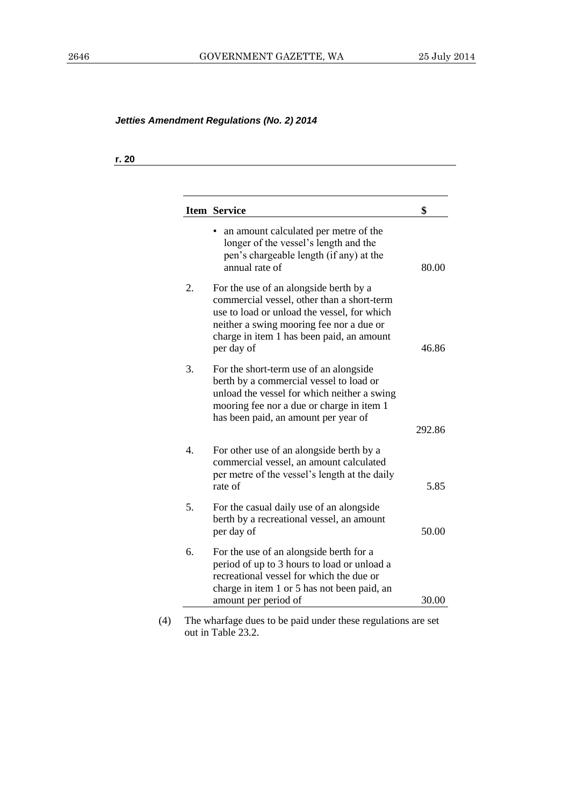**r. 20**

|                  | <b>Item Service</b>                                                                                                                                                                                                                        | \$     |
|------------------|--------------------------------------------------------------------------------------------------------------------------------------------------------------------------------------------------------------------------------------------|--------|
|                  | an amount calculated per metre of the<br>longer of the vessel's length and the<br>pen's chargeable length (if any) at the<br>annual rate of                                                                                                | 80.00  |
| 2.               | For the use of an alongside berth by a<br>commercial vessel, other than a short-term<br>use to load or unload the vessel, for which<br>neither a swing mooring fee nor a due or<br>charge in item 1 has been paid, an amount<br>per day of | 46.86  |
| 3.               | For the short-term use of an alongside<br>berth by a commercial vessel to load or<br>unload the vessel for which neither a swing<br>mooring fee nor a due or charge in item 1<br>has been paid, an amount per year of                      | 292.86 |
| $\overline{4}$ . | For other use of an alongside berth by a<br>commercial vessel, an amount calculated<br>per metre of the vessel's length at the daily<br>rate of                                                                                            | 5.85   |
| 5.               | For the casual daily use of an alongside<br>berth by a recreational vessel, an amount<br>per day of                                                                                                                                        | 50.00  |
| 6.               | For the use of an alongside berth for a<br>period of up to 3 hours to load or unload a<br>recreational vessel for which the due or<br>charge in item 1 or 5 has not been paid, an<br>amount per period of                                  | 30.00  |

(4) The wharfage dues to be paid under these regulations are set out in Table 23.2.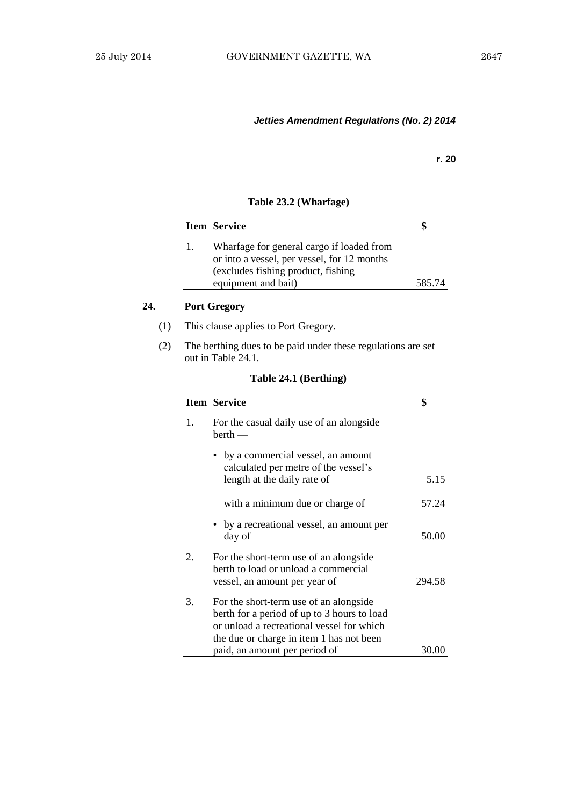| M.<br>۰. |
|----------|
|          |

## **Table 23.2 (Wharfage)**

|    | <b>Item Service</b>                                                                                                            |        |
|----|--------------------------------------------------------------------------------------------------------------------------------|--------|
| 1. | Wharfage for general cargo if loaded from<br>or into a vessel, per vessel, for 12 months<br>(excludes fishing product, fishing |        |
|    | equipment and bait)                                                                                                            | 585.74 |

## **24. Port Gregory**

- (1) This clause applies to Port Gregory.
- (2) The berthing dues to be paid under these regulations are set out in Table 24.1.

|                                                                                                                                                                                | \$                                                                                           |  |
|--------------------------------------------------------------------------------------------------------------------------------------------------------------------------------|----------------------------------------------------------------------------------------------|--|
| For the casual daily use of an alongside<br>$berth$ —                                                                                                                          |                                                                                              |  |
| • by a commercial vessel, an amount                                                                                                                                            |                                                                                              |  |
| length at the daily rate of                                                                                                                                                    | 5.15                                                                                         |  |
| with a minimum due or charge of                                                                                                                                                | 57.24                                                                                        |  |
| • by a recreational vessel, an amount per<br>day of                                                                                                                            | 50.00                                                                                        |  |
| For the short-term use of an alongside<br>berth to load or unload a commercial<br>vessel, an amount per year of                                                                | 294.58                                                                                       |  |
| For the short-term use of an alongside<br>berth for a period of up to 3 hours to load<br>or unload a recreational vessel for which<br>the due or charge in item 1 has not been | 30.00                                                                                        |  |
|                                                                                                                                                                                | <b>Item Service</b><br>calculated per metre of the vessel's<br>paid, an amount per period of |  |

## **Table 24.1 (Berthing)**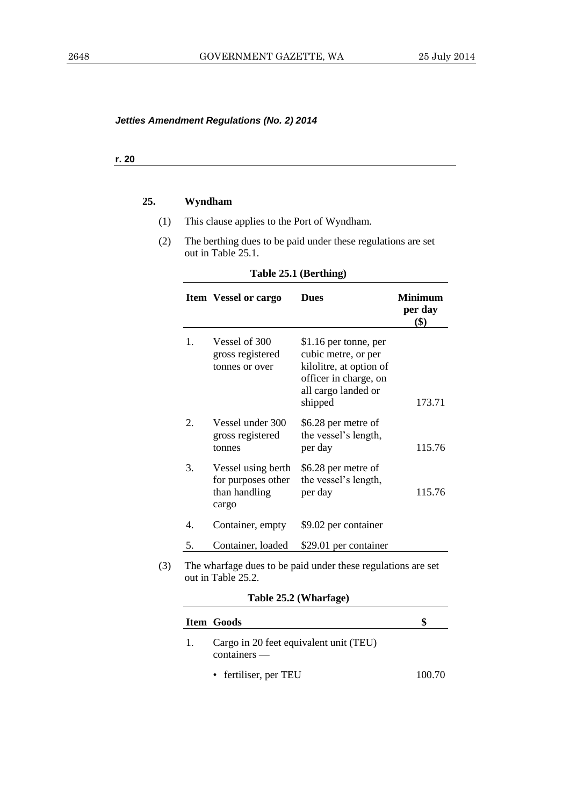#### **r. 20**

# **25. Wyndham**

- (1) This clause applies to the Port of Wyndham.
- (2) The berthing dues to be paid under these regulations are set out in Table 25.1.

# **Table 25.1 (Berthing)**

|                  | <b>Item Vessel or cargo</b>                                        | <b>Dues</b>                                                                                                                        | <b>Minimum</b><br>per day<br>\$) |
|------------------|--------------------------------------------------------------------|------------------------------------------------------------------------------------------------------------------------------------|----------------------------------|
| 1.               | Vessel of 300<br>gross registered<br>tonnes or over                | \$1.16 per tonne, per<br>cubic metre, or per<br>kilolitre, at option of<br>officer in charge, on<br>all cargo landed or<br>shipped | 173.71                           |
| $\overline{2}$ . | Vessel under 300<br>gross registered<br>tonnes                     | \$6.28 per metre of<br>the vessel's length,<br>per day                                                                             | 115.76                           |
| 3.               | Vessel using berth<br>for purposes other<br>than handling<br>cargo | \$6.28 per metre of<br>the vessel's length,<br>per day                                                                             | 115.76                           |
| 4.               | Container, empty                                                   | \$9.02 per container                                                                                                               |                                  |
| 5.               | Container, loaded                                                  | \$29.01 per container                                                                                                              |                                  |

| Table 25.2 (Wharfage) |  |
|-----------------------|--|
|-----------------------|--|

|    | Item Goods                                               | S      |
|----|----------------------------------------------------------|--------|
| 1. | Cargo in 20 feet equivalent unit (TEU)<br>$containers$ — |        |
|    | • fertiliser, per TEU                                    | 100.70 |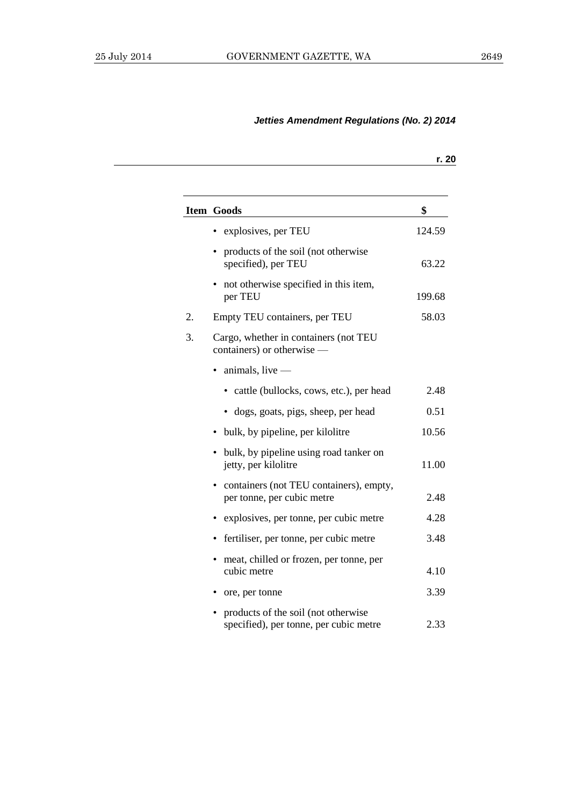|    |                                                                               | r. 20  |
|----|-------------------------------------------------------------------------------|--------|
|    | Item Goods                                                                    | \$     |
|    | explosives, per TEU                                                           | 124.59 |
|    | products of the soil (not otherwise<br>specified), per TEU                    | 63.22  |
|    | • not otherwise specified in this item,<br>per TEU                            | 199.68 |
| 2. | Empty TEU containers, per TEU                                                 | 58.03  |
| 3. | Cargo, whether in containers (not TEU<br>containers) or otherwise —           |        |
|    | $animals, live$ —                                                             |        |
|    | cattle (bullocks, cows, etc.), per head                                       | 2.48   |
|    | dogs, goats, pigs, sheep, per head                                            | 0.51   |
|    | bulk, by pipeline, per kilolitre                                              | 10.56  |
|    | • bulk, by pipeline using road tanker on<br>jetty, per kilolitre              | 11.00  |
|    | • containers (not TEU containers), empty,<br>per tonne, per cubic metre       | 2.48   |
|    | explosives, per tonne, per cubic metre                                        | 4.28   |
|    | fertiliser, per tonne, per cubic metre                                        | 3.48   |
|    | meat, chilled or frozen, per tonne, per<br>cubic metre                        | 4.10   |
|    | ore, per tonne                                                                | 3.39   |
|    | products of the soil (not otherwise<br>specified), per tonne, per cubic metre | 2.33   |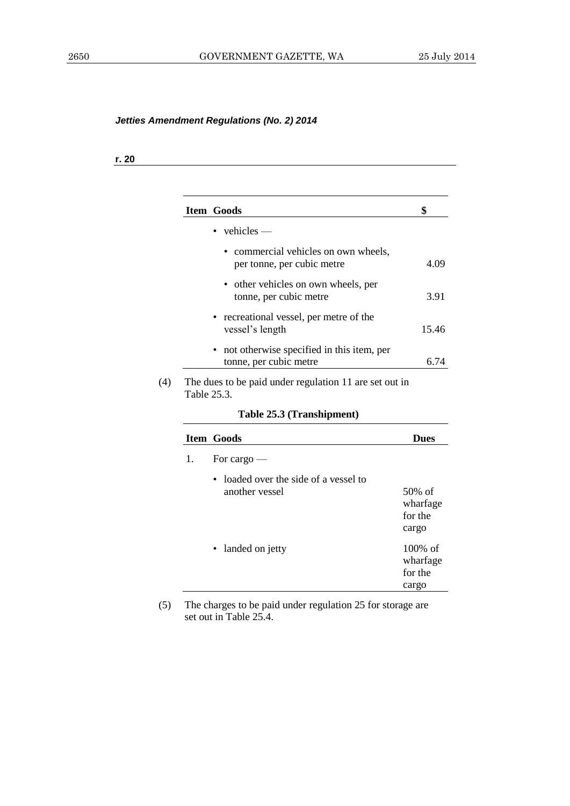**r. 20**

|    | Item Goods                                                            | \$                                         |
|----|-----------------------------------------------------------------------|--------------------------------------------|
|    | $vehicles$ —                                                          |                                            |
|    | commercial vehicles on own wheels,<br>per tonne, per cubic metre      | 4.09                                       |
|    | • other vehicles on own wheels, per<br>tonne, per cubic metre         | 3.91                                       |
|    | recreational vessel, per metre of the<br>vessel's length              | 15.46                                      |
|    | not otherwise specified in this item, per<br>tonne, per cubic metre   | 6.74                                       |
|    | The dues to be paid under regulation 11 are set out in<br>Table 25.3. |                                            |
|    |                                                                       |                                            |
|    | Table 25.3 (Transhipment)                                             |                                            |
|    | <b>Item Goods</b>                                                     | <b>Dues</b>                                |
| 1. | For cargo $-$                                                         |                                            |
|    | loaded over the side of a vessel to                                   |                                            |
|    | another vessel                                                        | 50% of                                     |
|    |                                                                       | for the                                    |
|    |                                                                       | cargo                                      |
|    | landed on jetty                                                       |                                            |
|    |                                                                       | wharfage<br>100% of<br>wharfage<br>for the |

(5) The charges to be paid under regulation 25 for storage are set out in Table 25.4.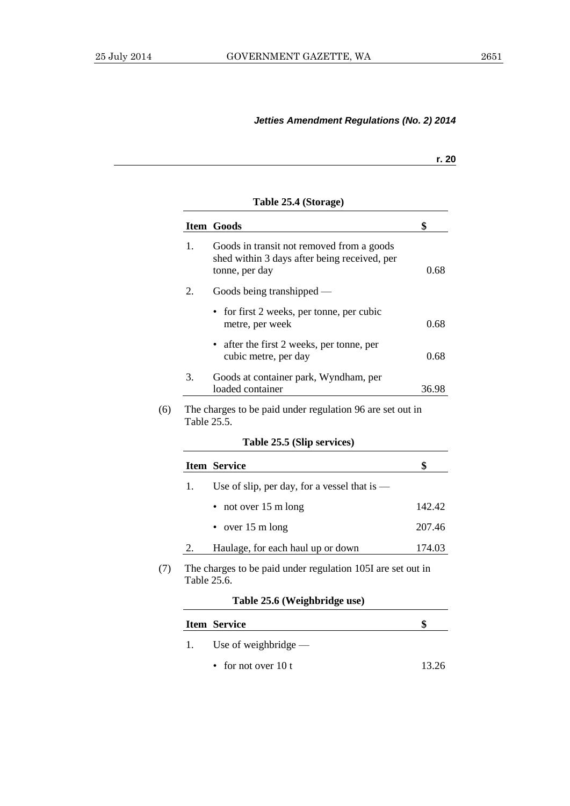## **r. 20**

|                   | <b>Item Goods</b>                                                                                           | \$                               |
|-------------------|-------------------------------------------------------------------------------------------------------------|----------------------------------|
| 1.                | Goods in transit not removed from a goods<br>shed within 3 days after being received, per<br>tonne, per day | 0.68                             |
| 2.                | Goods being transhipped —                                                                                   |                                  |
|                   | for first 2 weeks, per tonne, per cubic<br>metre, per week                                                  | 0.68                             |
|                   | after the first 2 weeks, per tonne, per<br>cubic metre, per day                                             | 0.68                             |
| 3.                | Goods at container park, Wyndham, per<br>loaded container                                                   | 36.98                            |
|                   | The charges to be paid under regulation 96 are set out in                                                   |                                  |
|                   | Table 25.5 (Slip services)                                                                                  |                                  |
|                   | <b>Item Service</b>                                                                                         | \$                               |
| Table 25.5.<br>1. | Use of slip, per day, for a vessel that is $-$                                                              |                                  |
|                   | not over 15 m long                                                                                          |                                  |
|                   | over 15 m long                                                                                              |                                  |
| 2.                | Haulage, for each haul up or down                                                                           |                                  |
| Table 25.6.       | The charges to be paid under regulation 105I are set out in                                                 |                                  |
|                   | Table 25.6 (Weighbridge use)                                                                                |                                  |
|                   | <b>Item Service</b>                                                                                         | 142.42<br>207.46<br>174.03<br>\$ |
| 1.                | Use of weighbridge $-$                                                                                      |                                  |

• for not over  $10 t$  13.26

**Table 25.4 (Storage)**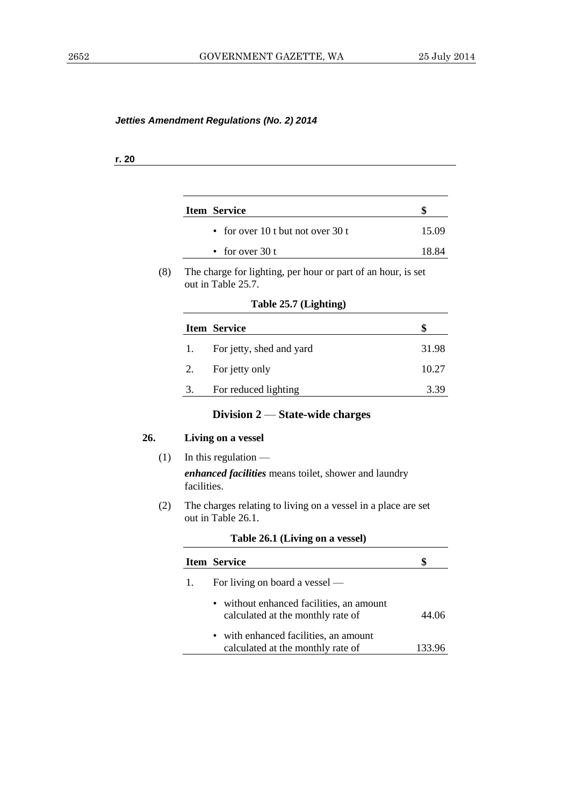## **r. 20**

| <b>Item Service</b>               |       |
|-----------------------------------|-------|
| • for over 10 t but not over 30 t | 15.09 |
| • for over $30t$                  | 18.84 |

(8) The charge for lighting, per hour or part of an hour, is set out in Table 25.7.

| Table 25.7 (Lighting) |  |  |
|-----------------------|--|--|
|-----------------------|--|--|

|    | <b>Item Service</b>      | S     |
|----|--------------------------|-------|
|    | For jetty, shed and yard | 31.98 |
| 2. | For jetty only           | 10.27 |
| 3. | For reduced lighting     | 3.39  |

# **Division 2** — **State-wide charges**

## **26. Living on a vessel**

(1) In this regulation —

*enhanced facilities* means toilet, shower and laundry facilities.

(2) The charges relating to living on a vessel in a place are set out in Table 26.1.

| <b>Item Service</b>                                                           |       |
|-------------------------------------------------------------------------------|-------|
| For living on board a vessel —                                                |       |
| • without enhanced facilities, an amount<br>calculated at the monthly rate of | 44 06 |
| • with enhanced facilities, an amount<br>calculated at the monthly rate of    |       |

#### **Table 26.1 (Living on a vessel)**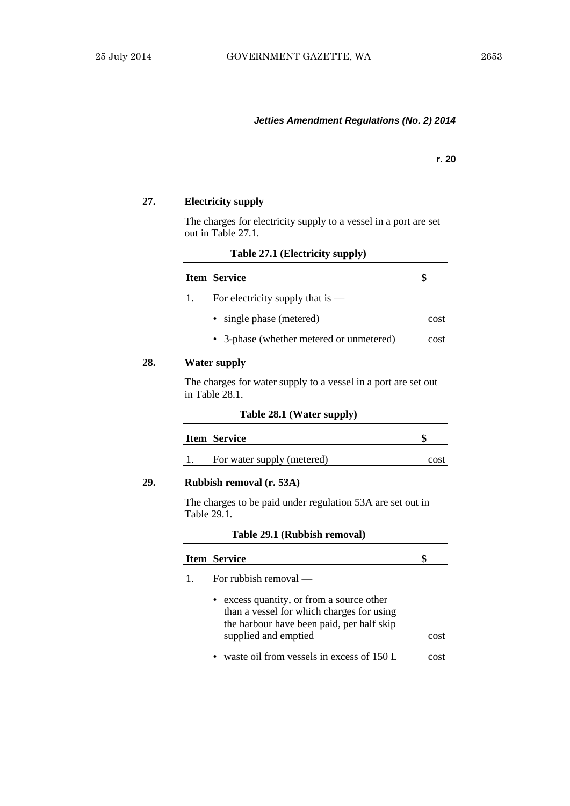**r. 20**

#### **27. Electricity supply**

The charges for electricity supply to a vessel in a port are set out in Table 27.1.

**Table 27.1 (Electricity supply)**

|    | <b>Item Service</b>                                          | ä    |
|----|--------------------------------------------------------------|------|
| 1. | For electricity supply that is $-$                           |      |
|    | • single phase (metered)                                     | cost |
|    | • 3-phase (whether metered or unmetered)                     | cost |
|    | $\mathbf{W}_{\alpha}$ (and $\alpha$ is a set of $\mathbf{L}$ |      |

# **28. Water supply**

The charges for water supply to a vessel in a port are set out in Table 28.1.

| Table 28.1 (Water supply) |  |  |
|---------------------------|--|--|
|---------------------------|--|--|

| <b>Item Service</b> | ۱J |
|---------------------|----|
|                     |    |

1. For water supply (metered) cost

## **29. Rubbish removal (r. 53A)**

The charges to be paid under regulation 53A are set out in Table 29.1.

## **Table 29.1 (Rubbish removal)**

| <b>Item Service</b>                                                                                                                                         |      |
|-------------------------------------------------------------------------------------------------------------------------------------------------------------|------|
| For rubbish removal $-$                                                                                                                                     |      |
| • excess quantity, or from a source other<br>than a vessel for which charges for using<br>the harbour have been paid, per half skip<br>supplied and emptied | cost |
| • waste oil from vessels in excess of 150 L                                                                                                                 | cost |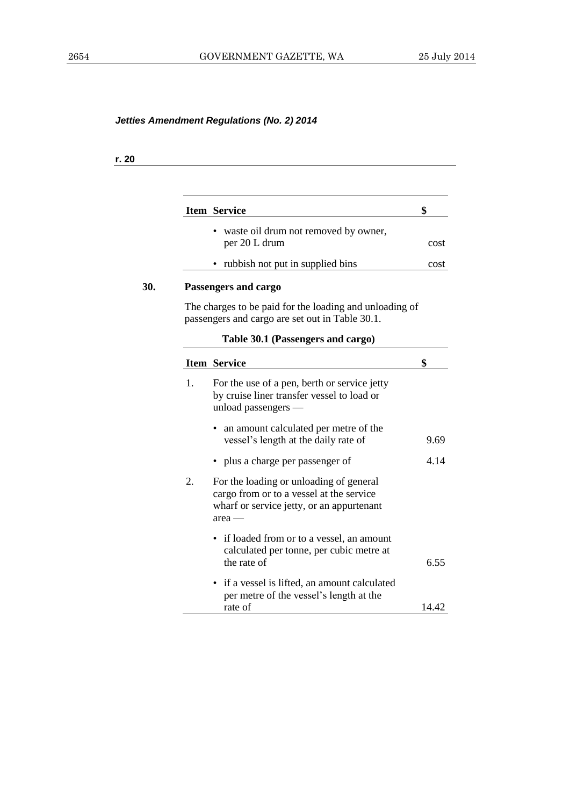## **r. 20**

|    | <b>Item Service</b>                                                                                                                          |
|----|----------------------------------------------------------------------------------------------------------------------------------------------|
|    | waste oil drum not removed by owner,<br>per 20 L drum                                                                                        |
|    | rubbish not put in supplied bins                                                                                                             |
|    | Passengers and cargo                                                                                                                         |
|    | The charges to be paid for the loading and unloading of<br>passengers and cargo are set out in Table 30.1.                                   |
|    | Table 30.1 (Passengers and cargo)                                                                                                            |
|    | <b>Item Service</b>                                                                                                                          |
| 1. | For the use of a pen, berth or service jetty<br>by cruise liner transfer vessel to load or<br>unload passengers -                            |
|    | an amount calculated per metre of the<br>vessel's length at the daily rate of                                                                |
|    | • plus a charge per passenger of                                                                                                             |
| 2. | For the loading or unloading of general<br>cargo from or to a vessel at the service<br>wharf or service jetty, or an appurtenant<br>$area -$ |
|    | • if loaded from or to a vessel, an amount<br>calculated per tonne, per cubic metre at<br>the rate of                                        |
|    | • if a vessel is lifted, an amount calculated<br>per metre of the vessel's length at the<br>rate of                                          |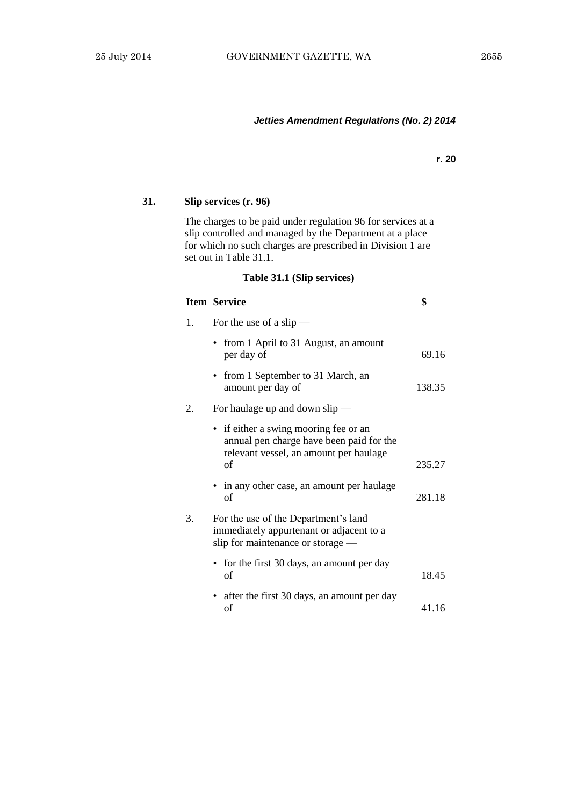**r. 20**

## **31. Slip services (r. 96)**

The charges to be paid under regulation 96 for services at a slip controlled and managed by the Department at a place for which no such charges are prescribed in Division 1 are set out in Table 31.1.

| Table 31.1 (Slip services) |  |  |
|----------------------------|--|--|
|----------------------------|--|--|

|    | <b>Item Service</b>                                                                                                               | \$     |
|----|-----------------------------------------------------------------------------------------------------------------------------------|--------|
| 1. | For the use of a slip $-$                                                                                                         |        |
|    | from 1 April to 31 August, an amount<br>per day of                                                                                | 69.16  |
|    | • from 1 September to 31 March, an<br>amount per day of                                                                           | 138.35 |
| 2. | For haulage up and down $slip$ —                                                                                                  |        |
|    | • if either a swing mooring fee or an<br>annual pen charge have been paid for the<br>relevant vessel, an amount per haulage<br>of | 235.27 |
|    | • in any other case, an amount per haulage<br>of                                                                                  | 281.18 |
| 3. | For the use of the Department's land<br>immediately appurtenant or adjacent to a<br>slip for maintenance or storage —             |        |
|    | • for the first 30 days, an amount per day<br>of                                                                                  | 18.45  |
|    | • after the first 30 days, an amount per day<br>οf                                                                                | 41.16  |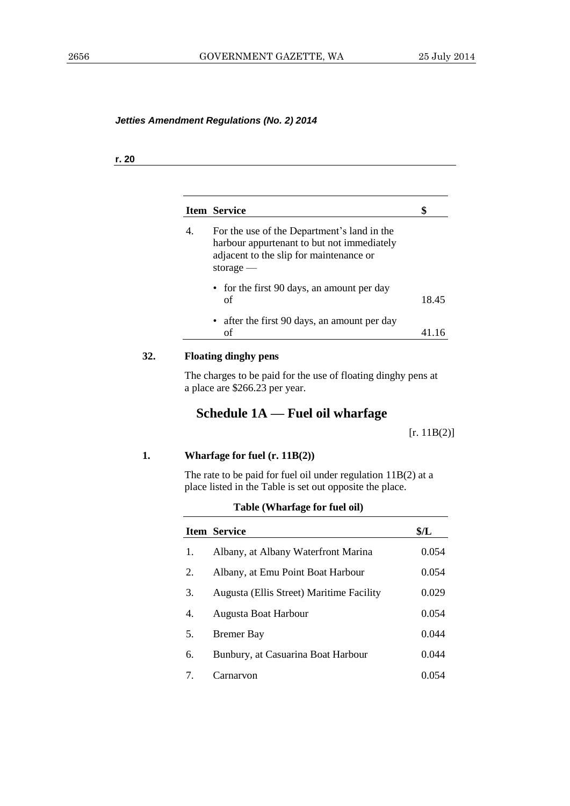#### **r. 20**

|    | <b>Item Service</b>                                                                                                                                 | S     |
|----|-----------------------------------------------------------------------------------------------------------------------------------------------------|-------|
| 4. | For the use of the Department's land in the<br>harbour appurtenant to but not immediately<br>adjacent to the slip for maintenance or<br>storage $-$ |       |
|    | • for the first 90 days, an amount per day<br>οf                                                                                                    | 18.45 |
|    | • after the first 90 days, an amount per day<br>οf                                                                                                  |       |

# **32. Floating dinghy pens**

The charges to be paid for the use of floating dinghy pens at a place are \$266.23 per year.

# **Schedule 1A — Fuel oil wharfage**

[r. 11B(2)]

#### **1. Wharfage for fuel (r. 11B(2))**

The rate to be paid for fuel oil under regulation 11B(2) at a place listed in the Table is set out opposite the place.

|    | <b>Item Service</b>                      | \$/L  |
|----|------------------------------------------|-------|
| 1. | Albany, at Albany Waterfront Marina      | 0.054 |
| 2. | Albany, at Emu Point Boat Harbour        | 0.054 |
| 3. | Augusta (Ellis Street) Maritime Facility | 0.029 |
| 4. | Augusta Boat Harbour                     | 0.054 |
| 5. | <b>Bremer Bay</b>                        | 0.044 |
| 6. | Bunbury, at Casuarina Boat Harbour       | 0.044 |
| 7. | Carnarvon                                | 0.054 |

#### **Table (Wharfage for fuel oil)**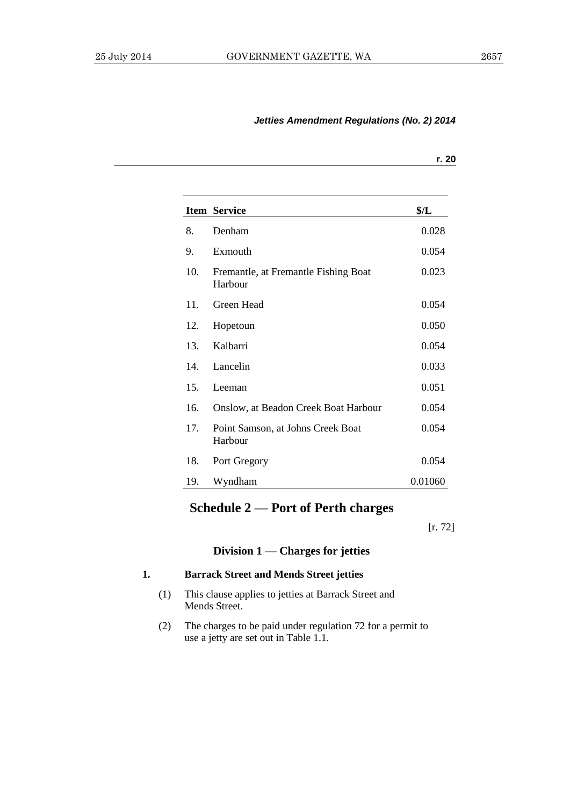| M.<br>۰. |
|----------|
|          |

|     | <b>Item Service</b>                             | \$/L    |
|-----|-------------------------------------------------|---------|
| 8.  | Denham                                          | 0.028   |
| 9.  | Exmouth                                         | 0.054   |
| 10. | Fremantle, at Fremantle Fishing Boat<br>Harbour | 0.023   |
| 11. | Green Head                                      | 0.054   |
| 12. | Hopetoun                                        | 0.050   |
| 13. | Kalbarri                                        | 0.054   |
| 14. | Lancelin                                        | 0.033   |
| 15. | Leeman                                          | 0.051   |
| 16. | Onslow, at Beadon Creek Boat Harbour            | 0.054   |
| 17. | Point Samson, at Johns Creek Boat<br>Harbour    | 0.054   |
| 18. | Port Gregory                                    | 0.054   |
| 19. | Wyndham                                         | 0.01060 |

# **Schedule 2 — Port of Perth charges**

[r. 72]

## **Division 1** — **Charges for jetties**

## **1. Barrack Street and Mends Street jetties**

- (1) This clause applies to jetties at Barrack Street and Mends Street.
- (2) The charges to be paid under regulation 72 for a permit to use a jetty are set out in Table 1.1.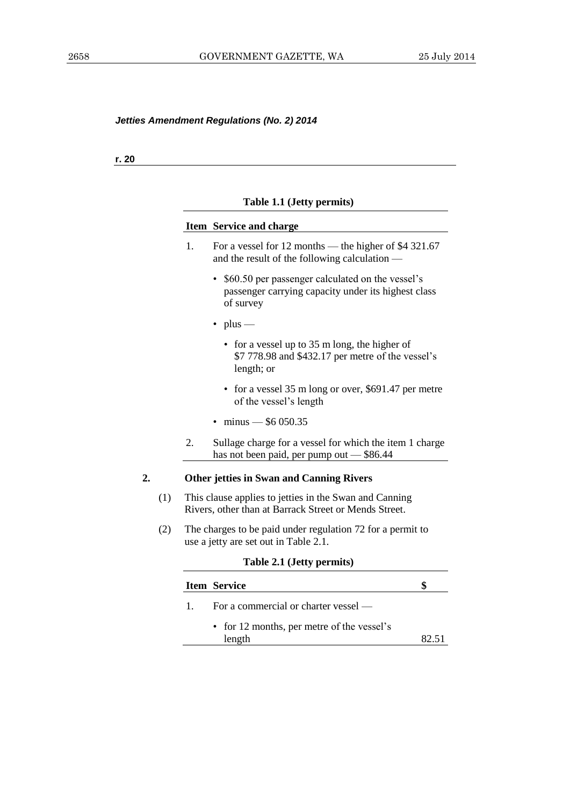**r. 20**

# **Table 1.1 (Jetty permits)**

|    |     |    | Item Service and charge                                                                                                |  |
|----|-----|----|------------------------------------------------------------------------------------------------------------------------|--|
|    |     | 1. | For a vessel for 12 months — the higher of \$4 321.67<br>and the result of the following calculation —                 |  |
|    |     |    | • \$60.50 per passenger calculated on the vessel's<br>passenger carrying capacity under its highest class<br>of survey |  |
|    |     |    | $\cdot$ plus —                                                                                                         |  |
|    |     |    | • for a vessel up to 35 m long, the higher of<br>\$7 778.98 and \$432.17 per metre of the vessel's<br>length; or       |  |
|    |     |    | • for a vessel 35 m long or over, \$691.47 per metre<br>of the vessel's length                                         |  |
|    |     |    | $minus -$ \$6 050.35                                                                                                   |  |
|    |     | 2. | Sullage charge for a vessel for which the item 1 charge<br>has not been paid, per pump out - \$86.44                   |  |
| 2. |     |    | <b>Other jetties in Swan and Canning Rivers</b>                                                                        |  |
|    | (1) |    | This clause applies to jetties in the Swan and Canning<br>Rivers, other than at Barrack Street or Mends Street.        |  |
|    | (2) |    | The charges to be paid under regulation 72 for a permit to<br>use a jetty are set out in Table 2.1.                    |  |
|    |     |    | Table 2.1 (Jetty permits)                                                                                              |  |
|    |     |    | \$<br><b>Item Service</b>                                                                                              |  |
|    |     | 1. | For a commercial or charter vessel —                                                                                   |  |

• for 12 months, per metre of the vessel's length 82.51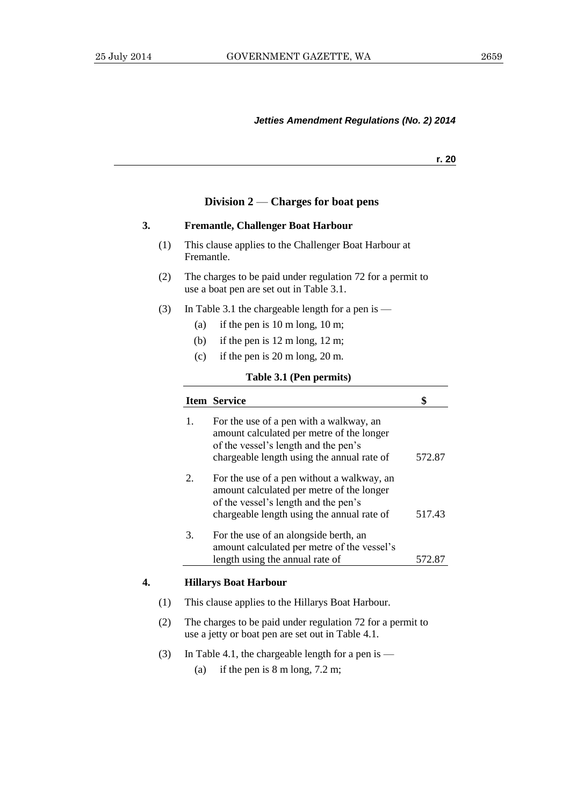**r. 20**

#### **Division 2** — **Charges for boat pens**

## **3. Fremantle, Challenger Boat Harbour**

- (1) This clause applies to the Challenger Boat Harbour at Fremantle.
- (2) The charges to be paid under regulation 72 for a permit to use a boat pen are set out in Table 3.1.
- (3) In Table 3.1 the chargeable length for a pen is  $-$ 
	- (a) if the pen is 10 m long, 10 m;
	- (b) if the pen is 12 m long, 12 m;
	- (c) if the pen is 20 m long, 20 m.

#### **Table 3.1 (Pen permits)**

|    |     |    | <b>Item Service</b>                                                                                                                                                        | \$               |
|----|-----|----|----------------------------------------------------------------------------------------------------------------------------------------------------------------------------|------------------|
|    |     | 1. | For the use of a pen with a walkway, an<br>amount calculated per metre of the longer<br>of the vessel's length and the pen's<br>chargeable length using the annual rate of | 572.87           |
|    |     | 2. | For the use of a pen without a walkway, an<br>amount calculated per metre of the longer<br>of the vessel's length and the pen's                                            |                  |
|    |     | 3. | chargeable length using the annual rate of<br>For the use of an alongside berth, an<br>amount calculated per metre of the vessel's<br>length using the annual rate of      | 517.43<br>572.87 |
| 4. |     |    | <b>Hillarys Boat Harbour</b>                                                                                                                                               |                  |
|    | (1) |    | This clause applies to the Hillarys Boat Harbour.                                                                                                                          |                  |
|    | (2) |    | The charges to be paid under regulation 72 for a permit to<br>use a jetty or boat pen are set out in Table 4.1.                                                            |                  |

- (3) In Table 4.1, the chargeable length for a pen is
	- (a) if the pen is 8 m long, 7.2 m;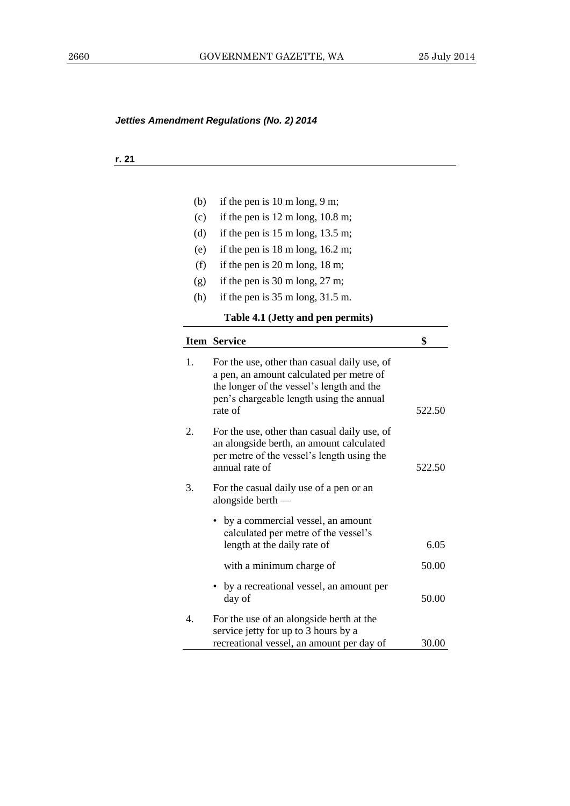## **r. 21**

| (b) | if the pen is $10 \text{ m}$ long, $9 \text{ m}$ ;                                                                                                                                           |        |
|-----|----------------------------------------------------------------------------------------------------------------------------------------------------------------------------------------------|--------|
| (c) | if the pen is $12 \text{ m}$ long, $10.8 \text{ m}$ ;                                                                                                                                        |        |
| (d) | if the pen is $15 \text{ m}$ long, $13.5 \text{ m}$ ;                                                                                                                                        |        |
| (e) | if the pen is $18 \text{ m}$ long, $16.2 \text{ m}$ ;                                                                                                                                        |        |
| (f) | if the pen is $20 \text{ m}$ long, $18 \text{ m}$ ;                                                                                                                                          |        |
| (g) | if the pen is $30 \text{ m}$ long, $27 \text{ m}$ ;                                                                                                                                          |        |
| (h) | if the pen is $35 \text{ m}$ long, $31.5 \text{ m}$ .                                                                                                                                        |        |
|     | Table 4.1 (Jetty and pen permits)                                                                                                                                                            |        |
|     | <b>Item Service</b>                                                                                                                                                                          | \$     |
| 1.  | For the use, other than casual daily use, of<br>a pen, an amount calculated per metre of<br>the longer of the vessel's length and the<br>pen's chargeable length using the annual<br>rate of | 522.50 |
| 2.  | For the use, other than casual daily use, of<br>an alongside berth, an amount calculated<br>per metre of the vessel's length using the<br>annual rate of                                     | 522.50 |
| 3.  | For the casual daily use of a pen or an<br>alongside berth —                                                                                                                                 |        |
|     | by a commercial vessel, an amount<br>calculated per metre of the vessel's<br>length at the daily rate of                                                                                     | 6.05   |
|     | with a minimum charge of                                                                                                                                                                     | 50.00  |
|     | by a recreational vessel, an amount per<br>day of                                                                                                                                            | 50.00  |
| 4.  | For the use of an alongside berth at the<br>service jetty for up to 3 hours by a<br>recreational vessel, an amount per day of                                                                | 30.00  |